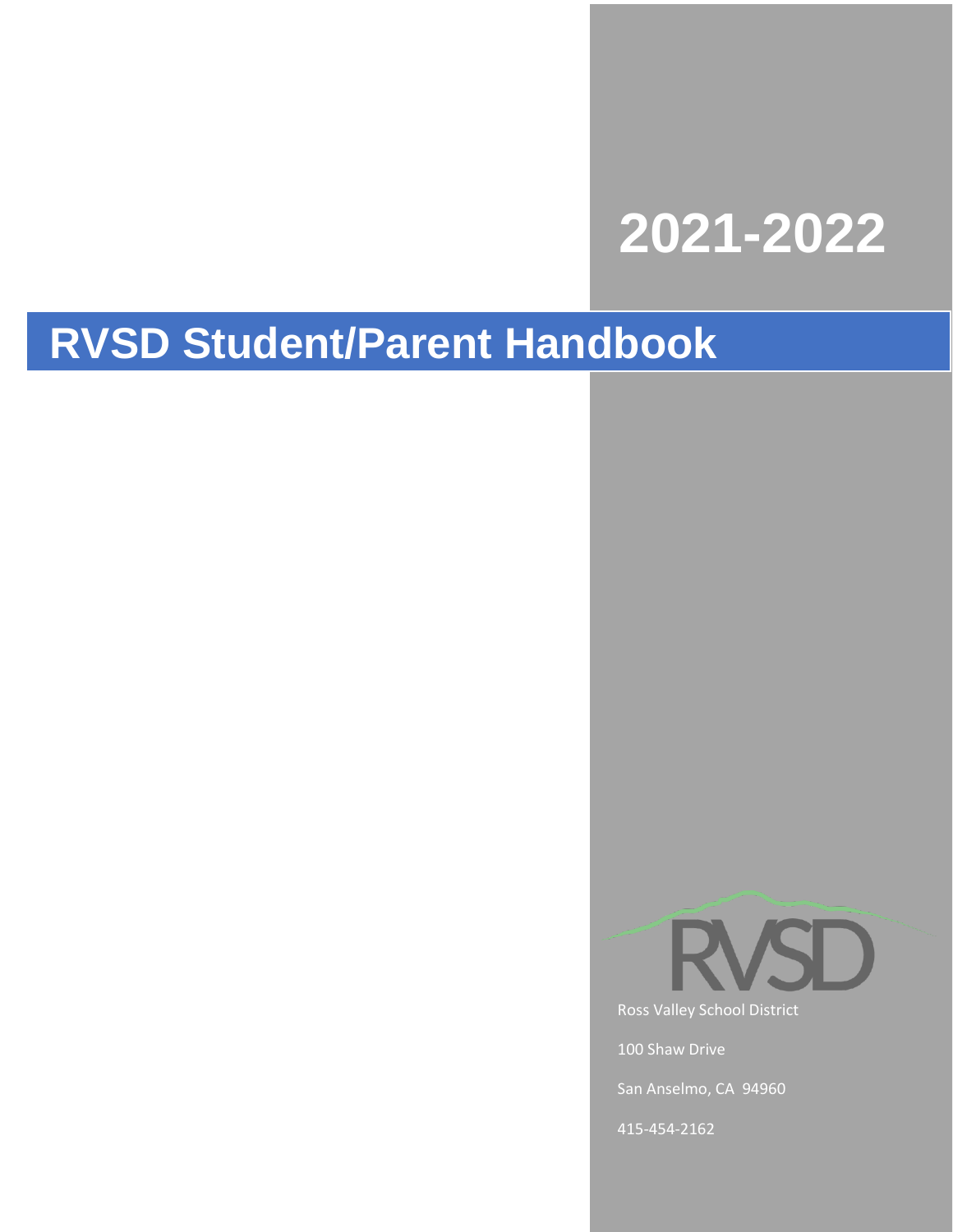# **2021-2022**

## **RVSD Student/Parent Handbook**



Ross Valley School District

100 Shaw Drive

San Anselmo, CA 94960

415-454-2162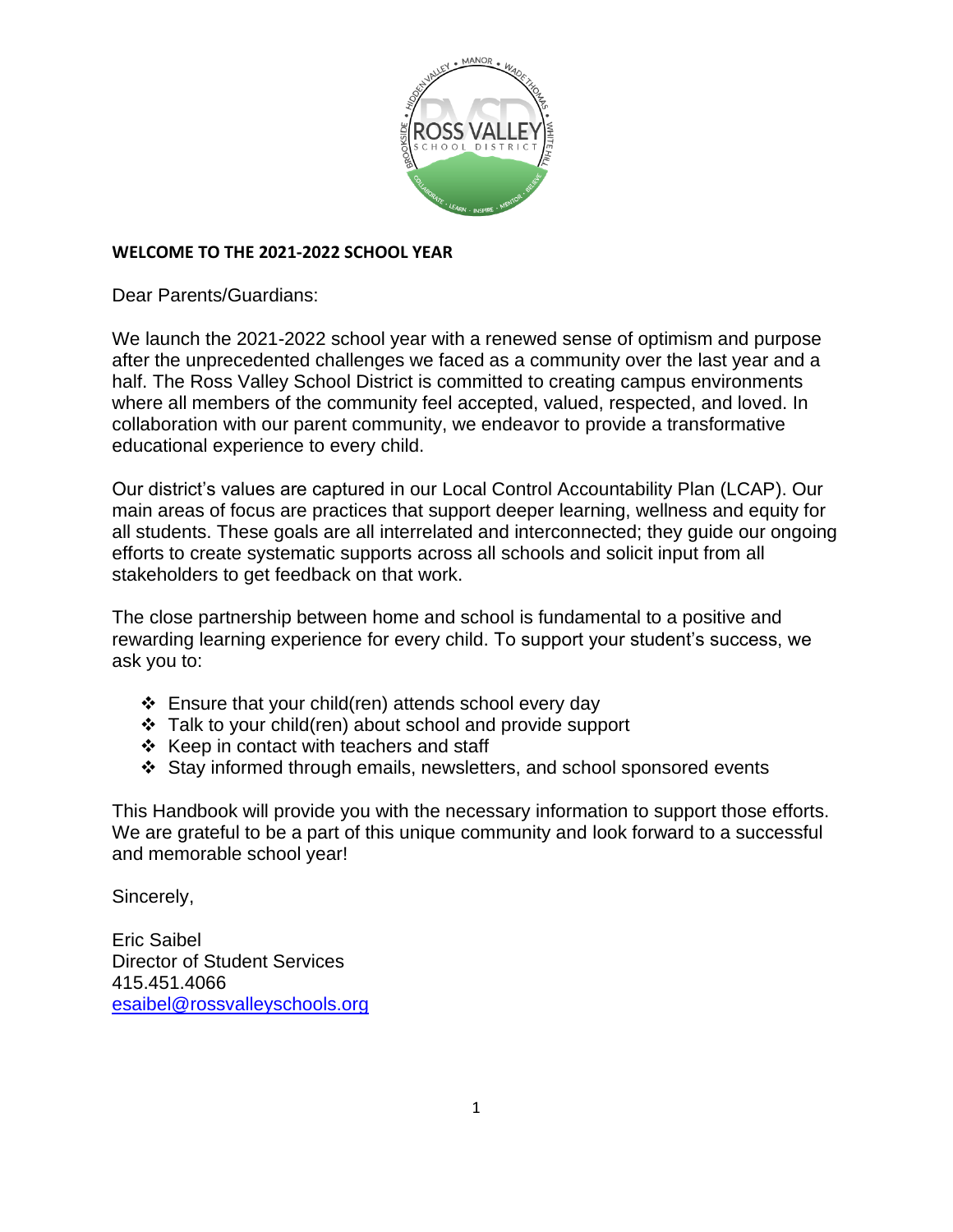

## **WELCOME TO THE 2021-2022 SCHOOL YEAR**

Dear Parents/Guardians:

We launch the 2021-2022 school year with a renewed sense of optimism and purpose after the unprecedented challenges we faced as a community over the last year and a half. The Ross Valley School District is committed to creating campus environments where all members of the community feel accepted, valued, respected, and loved. In collaboration with our parent community, we endeavor to provide a transformative educational experience to every child.

Our district's values are captured in our Local Control Accountability Plan (LCAP). Our main areas of focus are practices that support deeper learning, wellness and equity for all students. These goals are all interrelated and interconnected; they guide our ongoing efforts to create systematic supports across all schools and solicit input from all stakeholders to get feedback on that work.

The close partnership between home and school is fundamental to a positive and rewarding learning experience for every child. To support your student's success, we ask you to:

- ❖ Ensure that your child(ren) attends school every day
- ❖ Talk to your child(ren) about school and provide support
- ❖ Keep in contact with teachers and staff
- ❖ Stay informed through emails, newsletters, and school sponsored events

This Handbook will provide you with the necessary information to support those efforts. We are grateful to be a part of this unique community and look forward to a successful and memorable school year!

Sincerely,

Eric Saibel Director of Student Services 415.451.4066 [esaibel@rossvalleyschools.org](mailto:esaibel@rossvalleyschools.org)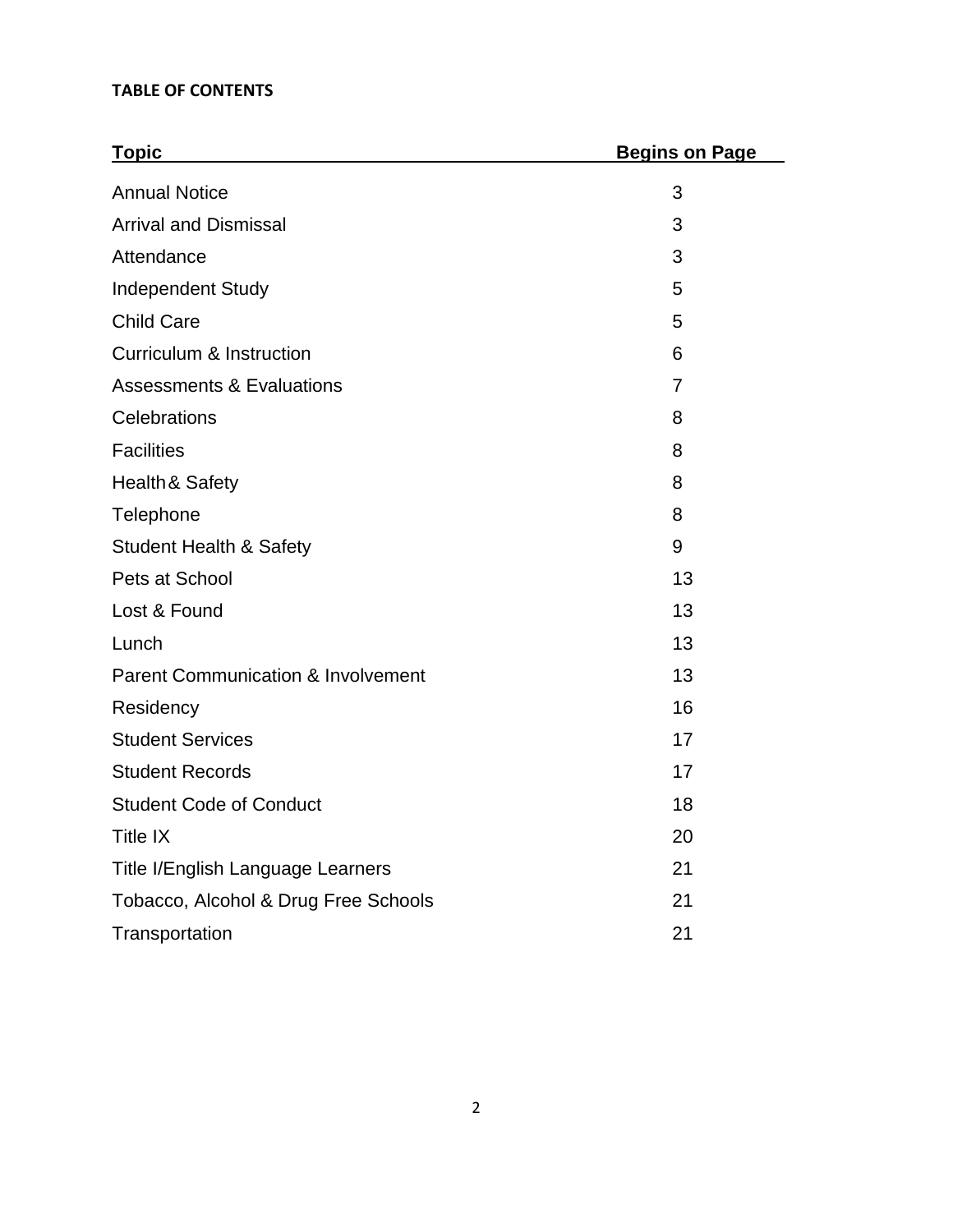## **TABLE OF CONTENTS**

| <b>Topic</b>                                  | <b>Begins on Page</b> |
|-----------------------------------------------|-----------------------|
| <b>Annual Notice</b>                          | 3                     |
| <b>Arrival and Dismissal</b>                  | 3                     |
| Attendance                                    | 3                     |
| <b>Independent Study</b>                      | 5                     |
| <b>Child Care</b>                             | 5                     |
| <b>Curriculum &amp; Instruction</b>           | 6                     |
| <b>Assessments &amp; Evaluations</b>          | $\overline{7}$        |
| Celebrations                                  | 8                     |
| <b>Facilities</b>                             | 8                     |
| Health & Safety                               | 8                     |
| Telephone                                     | 8                     |
| <b>Student Health &amp; Safety</b>            | 9                     |
| Pets at School                                | 13                    |
| Lost & Found                                  | 13                    |
| Lunch                                         | 13                    |
| <b>Parent Communication &amp; Involvement</b> | 13                    |
| Residency                                     | 16                    |
| <b>Student Services</b>                       | 17                    |
| <b>Student Records</b>                        | 17                    |
| <b>Student Code of Conduct</b>                | 18                    |
| Title IX                                      | 20                    |
| Title I/English Language Learners             | 21                    |
| Tobacco, Alcohol & Drug Free Schools          | 21                    |
| Transportation                                | 21                    |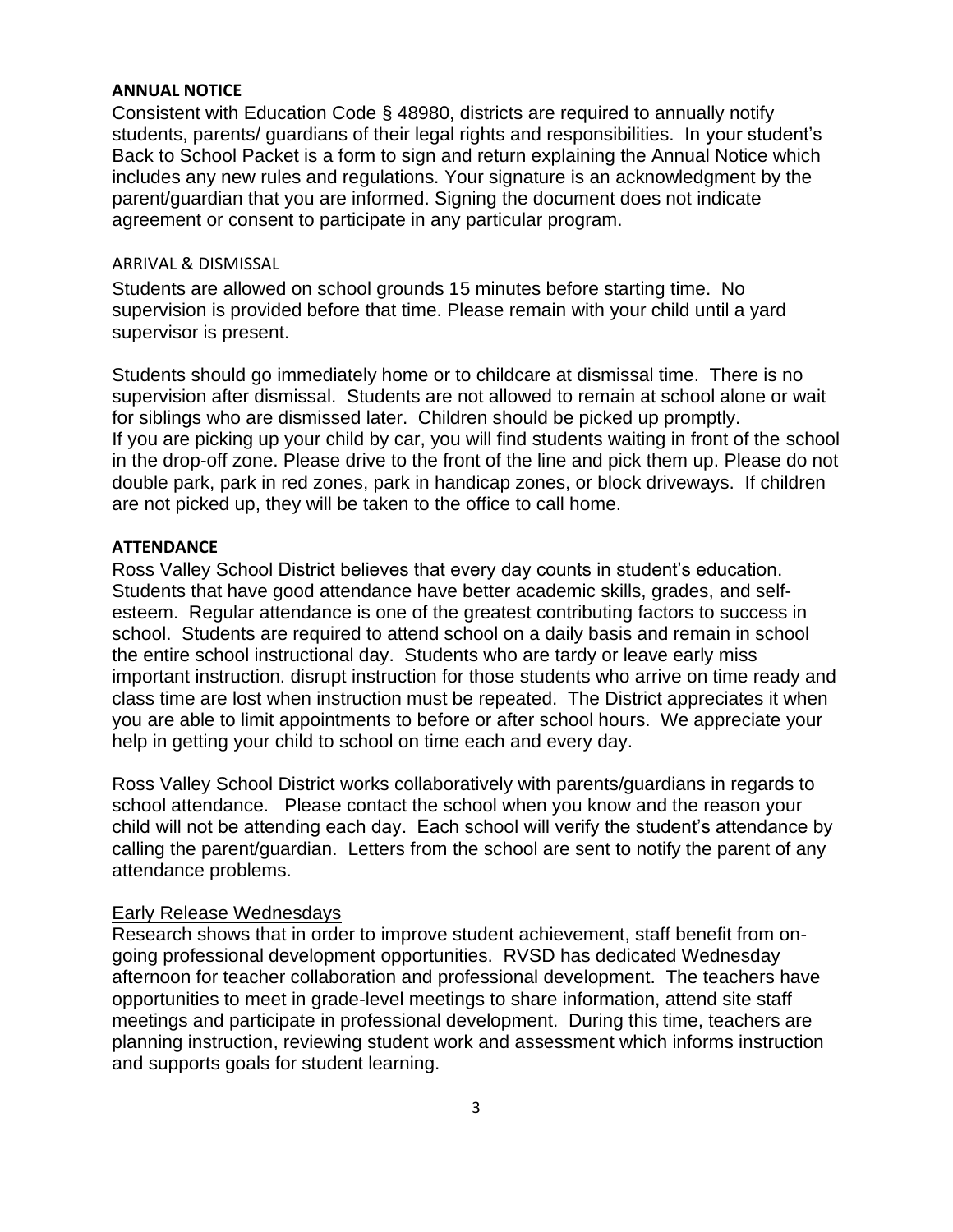#### **ANNUAL NOTICE**

Consistent with Education Code § 48980, districts are required to annually notify students, parents/ guardians of their legal rights and responsibilities. In your student's Back to School Packet is a form to sign and return explaining the Annual Notice which includes any new rules and regulations. Your signature is an acknowledgment by the parent/guardian that you are informed. Signing the document does not indicate agreement or consent to participate in any particular program.

#### ARRIVAL & DISMISSAL

Students are allowed on school grounds 15 minutes before starting time. No supervision is provided before that time. Please remain with your child until a yard supervisor is present.

Students should go immediately home or to childcare at dismissal time. There is no supervision after dismissal. Students are not allowed to remain at school alone or wait for siblings who are dismissed later. Children should be picked up promptly. If you are picking up your child by car, you will find students waiting in front of the school in the drop-off zone. Please drive to the front of the line and pick them up. Please do not double park, park in red zones, park in handicap zones, or block driveways. If children are not picked up, they will be taken to the office to call home.

#### **ATTENDANCE**

Ross Valley School District believes that every day counts in student's education. Students that have good attendance have better academic skills, grades, and selfesteem. Regular attendance is one of the greatest contributing factors to success in school. Students are required to attend school on a daily basis and remain in school the entire school instructional day. Students who are tardy or leave early miss important instruction. disrupt instruction for those students who arrive on time ready and class time are lost when instruction must be repeated. The District appreciates it when you are able to limit appointments to before or after school hours. We appreciate your help in getting your child to school on time each and every day.

Ross Valley School District works collaboratively with parents/guardians in regards to school attendance. Please contact the school when you know and the reason your child will not be attending each day. Each school will verify the student's attendance by calling the parent/guardian. Letters from the school are sent to notify the parent of any attendance problems.

#### Early Release Wednesdays

Research shows that in order to improve student achievement, staff benefit from ongoing professional development opportunities. RVSD has dedicated Wednesday afternoon for teacher collaboration and professional development. The teachers have opportunities to meet in grade-level meetings to share information, attend site staff meetings and participate in professional development. During this time, teachers are planning instruction, reviewing student work and assessment which informs instruction and supports goals for student learning.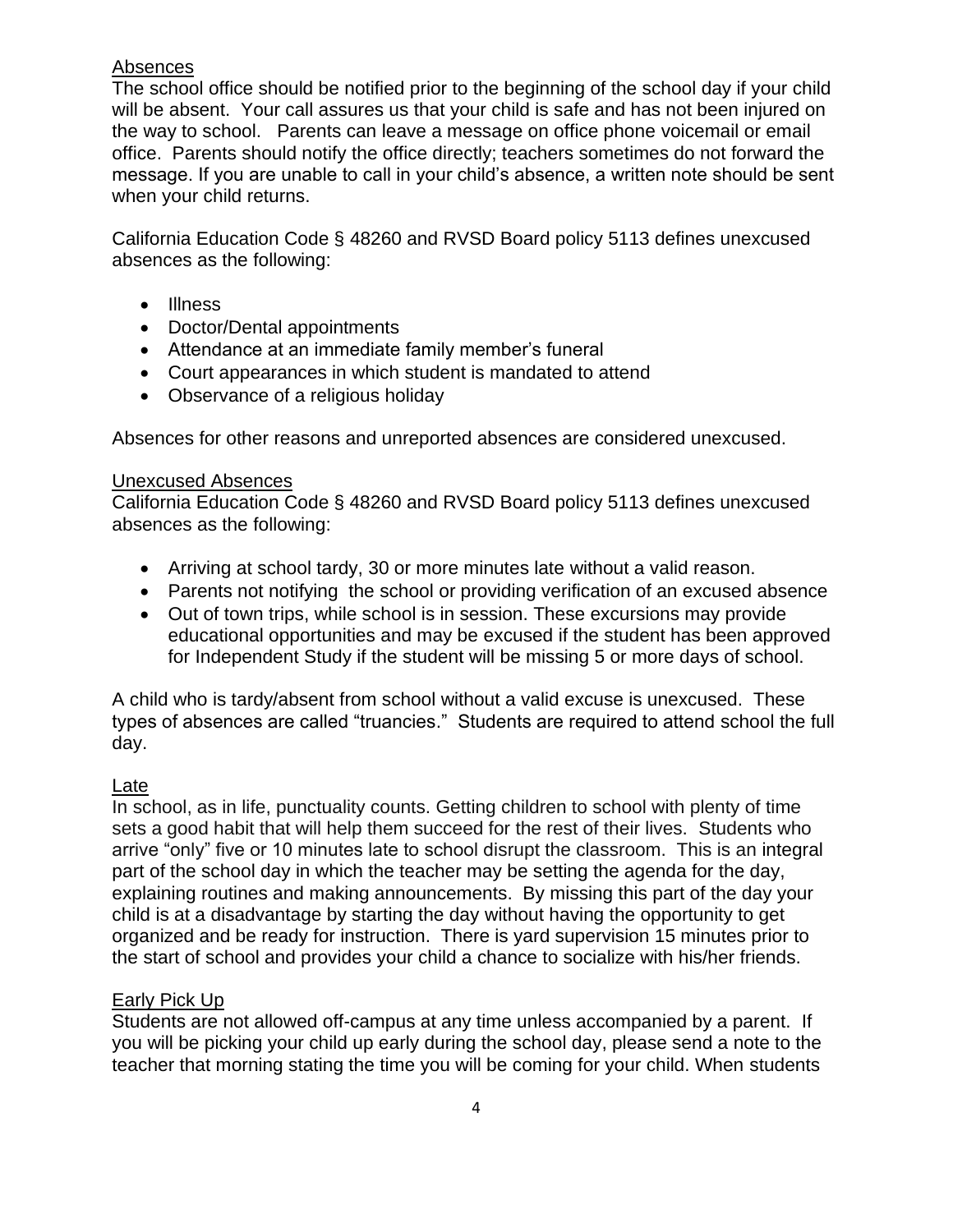## Absences

The school office should be notified prior to the beginning of the school day if your child will be absent. Your call assures us that your child is safe and has not been injured on the way to school. Parents can leave a message on office phone voicemail or email office. Parents should notify the office directly; teachers sometimes do not forward the message. If you are unable to call in your child's absence, a written note should be sent when your child returns.

California Education Code § 48260 and RVSD Board policy 5113 defines unexcused absences as the following:

- Illness
- Doctor/Dental appointments
- Attendance at an immediate family member's funeral
- Court appearances in which student is mandated to attend
- Observance of a religious holiday

Absences for other reasons and unreported absences are considered unexcused.

## Unexcused Absences

California Education Code § 48260 and RVSD Board policy 5113 defines unexcused absences as the following:

- Arriving at school tardy, 30 or more minutes late without a valid reason.
- Parents not notifying the school or providing verification of an excused absence
- Out of town trips, while school is in session. These excursions may provide educational opportunities and may be excused if the student has been approved for Independent Study if the student will be missing 5 or more days of school.

A child who is tardy/absent from school without a valid excuse is unexcused. These types of absences are called "truancies." Students are required to attend school the full day.

## Late

In school, as in life, punctuality counts. Getting children to school with plenty of time sets a good habit that will help them succeed for the rest of their lives. Students who arrive "only" five or 10 minutes late to school disrupt the classroom. This is an integral part of the school day in which the teacher may be setting the agenda for the day, explaining routines and making announcements. By missing this part of the day your child is at a disadvantage by starting the day without having the opportunity to get organized and be ready for instruction. There is yard supervision 15 minutes prior to the start of school and provides your child a chance to socialize with his/her friends.

## Early Pick Up

Students are not allowed off-campus at any time unless accompanied by a parent. If you will be picking your child up early during the school day, please send a note to the teacher that morning stating the time you will be coming for your child. When students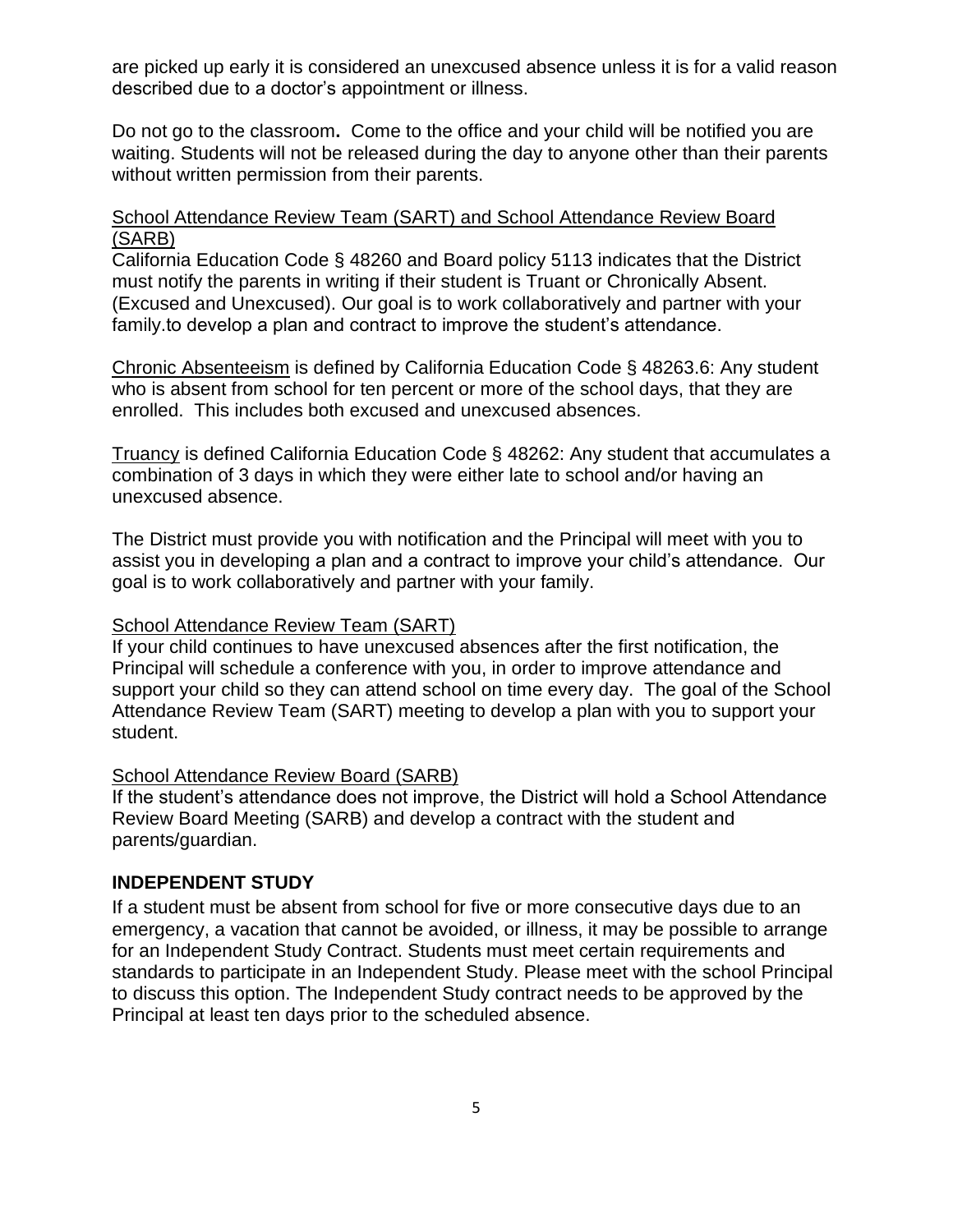are picked up early it is considered an unexcused absence unless it is for a valid reason described due to a doctor's appointment or illness.

Do not go to the classroom**.** Come to the office and your child will be notified you are waiting. Students will not be released during the day to anyone other than their parents without written permission from their parents.

#### School Attendance Review Team (SART) and School Attendance Review Board (SARB)

California Education Code § 48260 and Board policy 5113 indicates that the District must notify the parents in writing if their student is Truant or Chronically Absent. (Excused and Unexcused). Our goal is to work collaboratively and partner with your family.to develop a plan and contract to improve the student's attendance.

Chronic Absenteeism is defined by California Education Code § 48263.6: Any student who is absent from school for ten percent or more of the school days, that they are enrolled. This includes both excused and unexcused absences.

Truancy is defined California Education Code § 48262: Any student that accumulates a combination of 3 days in which they were either late to school and/or having an unexcused absence.

The District must provide you with notification and the Principal will meet with you to assist you in developing a plan and a contract to improve your child's attendance. Our goal is to work collaboratively and partner with your family.

#### School Attendance Review Team (SART)

If your child continues to have unexcused absences after the first notification, the Principal will schedule a conference with you, in order to improve attendance and support your child so they can attend school on time every day. The goal of the School Attendance Review Team (SART) meeting to develop a plan with you to support your student.

## School Attendance Review Board (SARB)

If the student's attendance does not improve, the District will hold a School Attendance Review Board Meeting (SARB) and develop a contract with the student and parents/guardian.

## **INDEPENDENT STUDY**

If a student must be absent from school for five or more consecutive days due to an emergency, a vacation that cannot be avoided, or illness, it may be possible to arrange for an Independent Study Contract. Students must meet certain requirements and standards to participate in an Independent Study. Please meet with the school Principal to discuss this option. The Independent Study contract needs to be approved by the Principal at least ten days prior to the scheduled absence.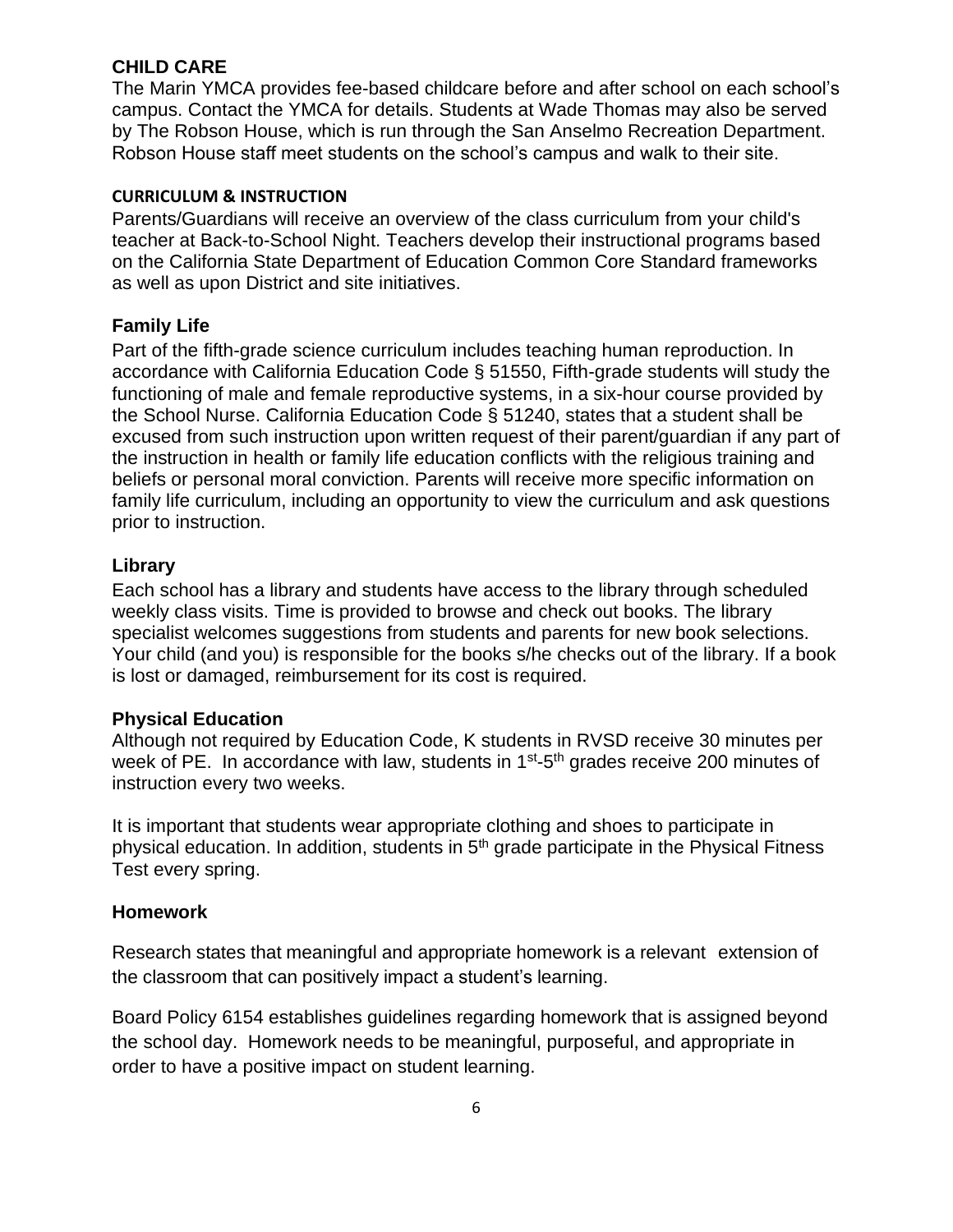## **CHILD CARE**

The Marin YMCA provides fee-based childcare before and after school on each school's campus. Contact the YMCA for details. Students at Wade Thomas may also be served by The Robson House, which is run through the San Anselmo Recreation Department. Robson House staff meet students on the school's campus and walk to their site.

## **CURRICULUM & INSTRUCTION**

Parents/Guardians will receive an overview of the class curriculum from your child's teacher at Back-to-School Night. Teachers develop their instructional programs based on the California State Department of Education Common Core Standard frameworks as well as upon District and site initiatives.

## **Family Life**

Part of the fifth-grade science curriculum includes teaching human reproduction. In accordance with California Education Code § 51550, Fifth-grade students will study the functioning of male and female reproductive systems, in a six-hour course provided by the School Nurse. California Education Code § 51240, states that a student shall be excused from such instruction upon written request of their parent/guardian if any part of the instruction in health or family life education conflicts with the religious training and beliefs or personal moral conviction. Parents will receive more specific information on family life curriculum, including an opportunity to view the curriculum and ask questions prior to instruction.

## **Library**

Each school has a library and students have access to the library through scheduled weekly class visits. Time is provided to browse and check out books. The library specialist welcomes suggestions from students and parents for new book selections. Your child (and you) is responsible for the books s/he checks out of the library. If a book is lost or damaged, reimbursement for its cost is required.

## **Physical Education**

Although not required by Education Code, K students in RVSD receive 30 minutes per week of PE. In accordance with law, students in 1<sup>st</sup>-5<sup>th</sup> grades receive 200 minutes of instruction every two weeks.

It is important that students wear appropriate clothing and shoes to participate in physical education. In addition, students in 5th grade participate in the Physical Fitness Test every spring.

## **Homework**

Research states that meaningful and appropriate homework is a relevant extension of the classroom that can positively impact a student's learning.

Board Policy 6154 establishes guidelines regarding homework that is assigned beyond the school day. Homework needs to be meaningful, purposeful, and appropriate in order to have a positive impact on student learning.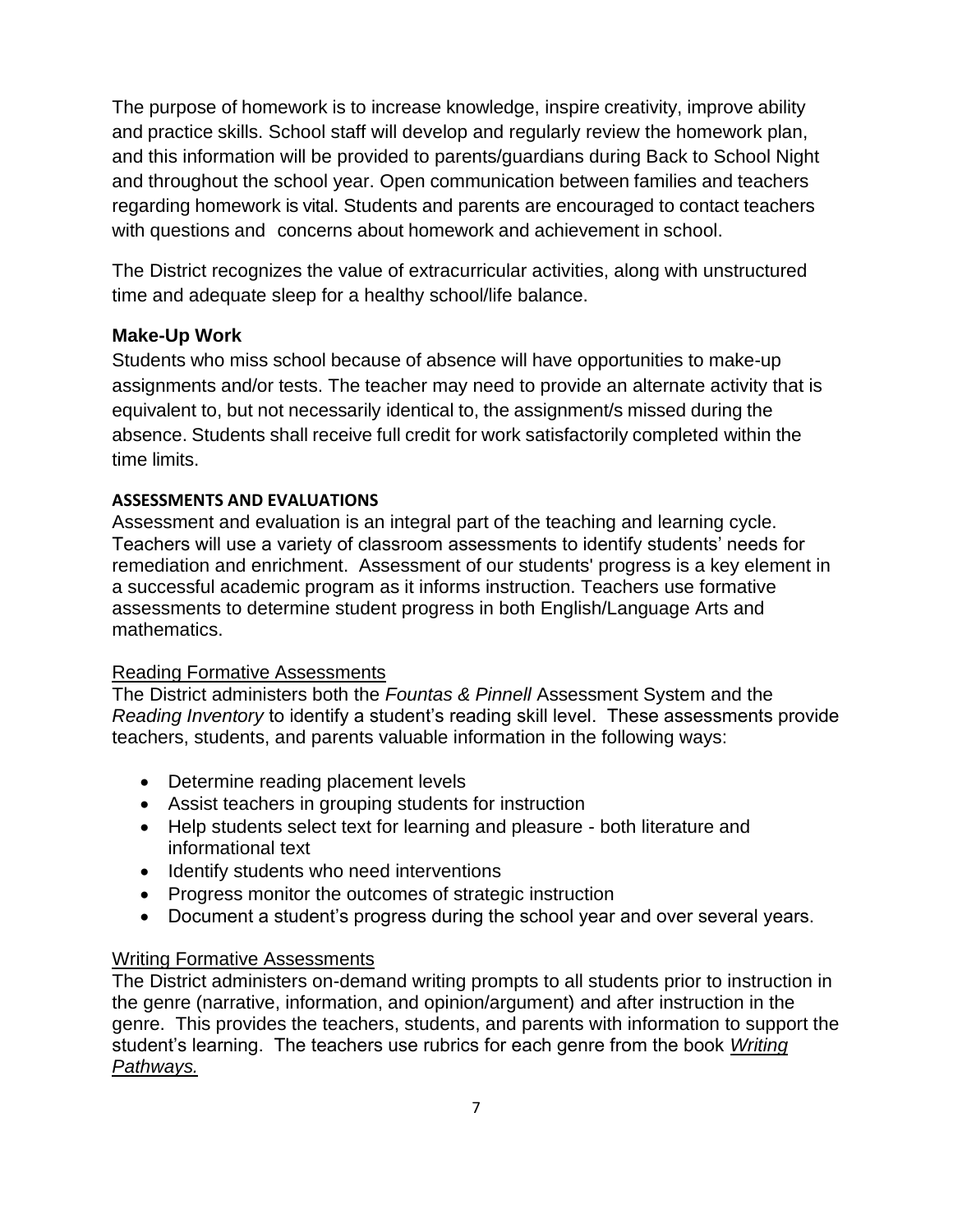The purpose of homework is to increase knowledge, inspire creativity, improve ability and practice skills. School staff will develop and regularly review the homework plan, and this information will be provided to parents/guardians during Back to School Night and throughout the school year. Open communication between families and teachers regarding homework is vital. Students and parents are encouraged to contact teachers with questions and concerns about homework and achievement in school.

The District recognizes the value of extracurricular activities, along with unstructured time and adequate sleep for a healthy school/life balance.

## **Make-Up Work**

Students who miss school because of absence will have opportunities to make-up assignments and/or tests. The teacher may need to provide an alternate activity that is equivalent to, but not necessarily identical to, the assignment/s missed during the absence. Students shall receive full credit for work satisfactorily completed within the time limits.

## **ASSESSMENTS AND EVALUATIONS**

Assessment and evaluation is an integral part of the teaching and learning cycle. Teachers will use a variety of classroom assessments to identify students' needs for remediation and enrichment. Assessment of our students' progress is a key element in a successful academic program as it informs instruction. Teachers use formative assessments to determine student progress in both English/Language Arts and mathematics.

## Reading Formative Assessments

The District administers both the *Fountas & Pinnell* Assessment System and the *Reading Inventory* to identify a student's reading skill level. These assessments provide teachers, students, and parents valuable information in the following ways:

- Determine reading placement levels
- Assist teachers in grouping students for instruction
- Help students select text for learning and pleasure both literature and informational text
- Identify students who need interventions
- Progress monitor the outcomes of strategic instruction
- Document a student's progress during the school year and over several years.

## Writing Formative Assessments

The District administers on-demand writing prompts to all students prior to instruction in the genre (narrative, information, and opinion/argument) and after instruction in the genre. This provides the teachers, students, and parents with information to support the student's learning. The teachers use rubrics for each genre from the book *Writing Pathways.*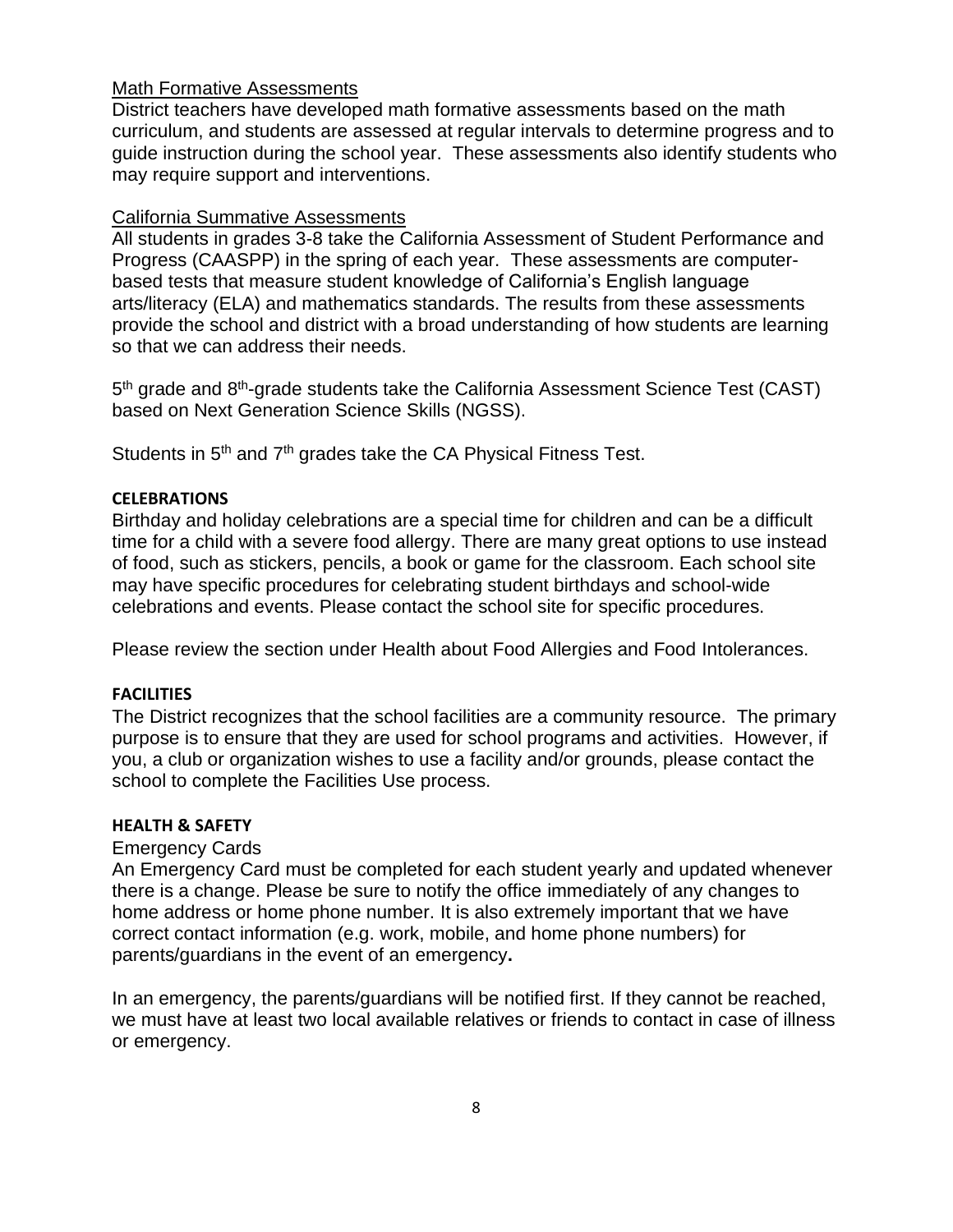#### Math Formative Assessments

District teachers have developed math formative assessments based on the math curriculum, and students are assessed at regular intervals to determine progress and to guide instruction during the school year. These assessments also identify students who may require support and interventions.

#### California Summative Assessments

All students in grades 3-8 take the California Assessment of Student Performance and Progress (CAASPP) in the spring of each year. These assessments are computerbased tests that measure student knowledge of California's English language arts/literacy (ELA) and mathematics standards. The results from these assessments provide the school and district with a broad understanding of how students are learning so that we can address their needs.

5<sup>th</sup> grade and 8<sup>th</sup>-grade students take the California Assessment Science Test (CAST) based on Next Generation Science Skills (NGSS).

Students in 5<sup>th</sup> and 7<sup>th</sup> grades take the CA Physical Fitness Test.

#### **CELEBRATIONS**

Birthday and holiday celebrations are a special time for children and can be a difficult time for a child with a severe food allergy. There are many great options to use instead of food, such as stickers, pencils, a book or game for the classroom. Each school site may have specific procedures for celebrating student birthdays and school-wide celebrations and events. Please contact the school site for specific procedures.

Please review the section under Health about Food Allergies and Food Intolerances.

#### **FACILITIES**

The District recognizes that the school facilities are a community resource. The primary purpose is to ensure that they are used for school programs and activities. However, if you, a club or organization wishes to use a facility and/or grounds, please contact the school to complete the Facilities Use process.

#### **HEALTH & SAFETY**

#### Emergency Cards

An Emergency Card must be completed for each student yearly and updated whenever there is a change. Please be sure to notify the office immediately of any changes to home address or home phone number. It is also extremely important that we have correct contact information (e.g. work, mobile, and home phone numbers) for parents/guardians in the event of an emergency**.** 

In an emergency, the parents/guardians will be notified first. If they cannot be reached, we must have at least two local available relatives or friends to contact in case of illness or emergency.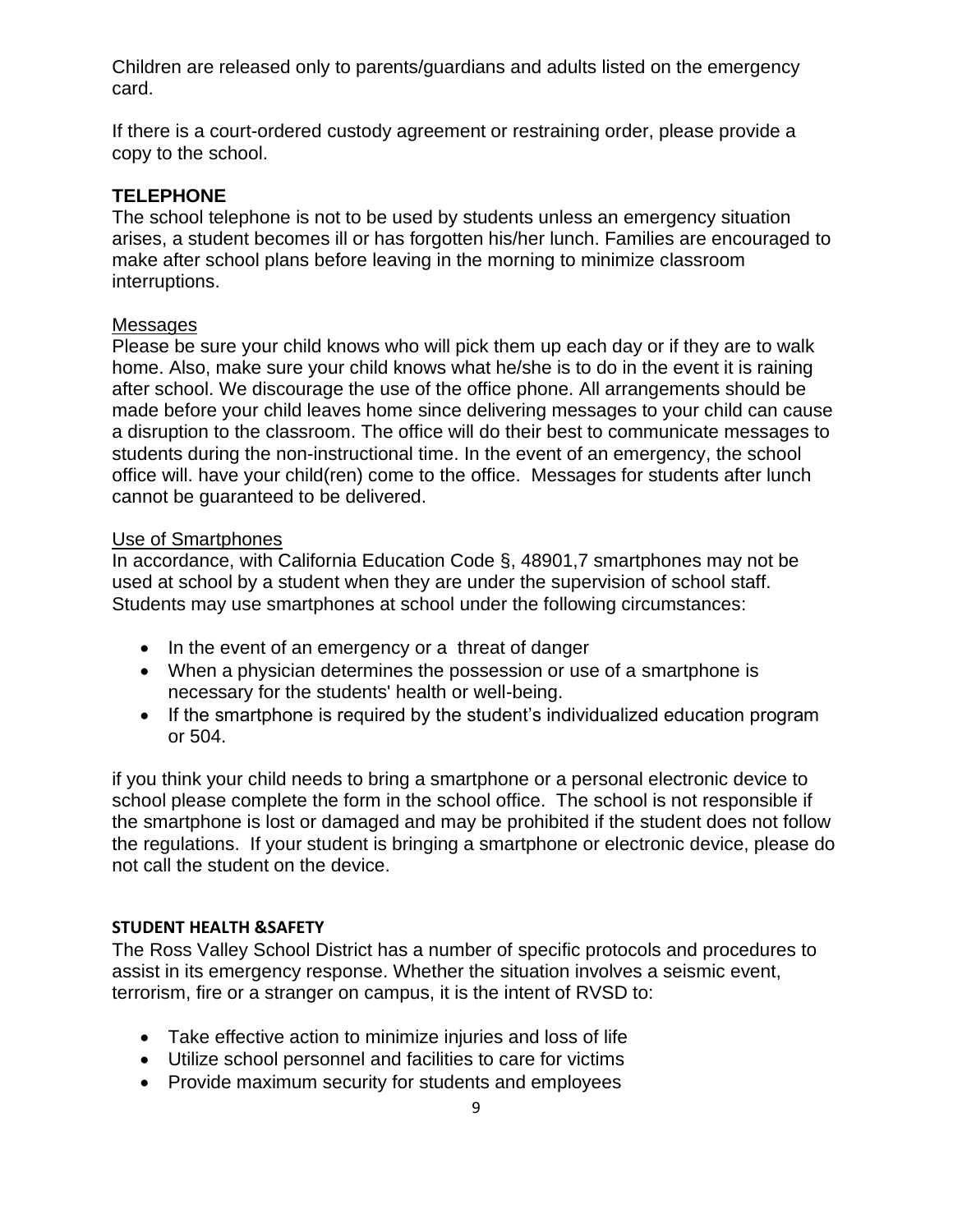Children are released only to parents/guardians and adults listed on the emergency card.

If there is a court-ordered custody agreement or restraining order, please provide a copy to the school.

## **TELEPHONE**

The school telephone is not to be used by students unless an emergency situation arises, a student becomes ill or has forgotten his/her lunch. Families are encouraged to make after school plans before leaving in the morning to minimize classroom interruptions.

#### Messages

Please be sure your child knows who will pick them up each day or if they are to walk home. Also, make sure your child knows what he/she is to do in the event it is raining after school. We discourage the use of the office phone. All arrangements should be made before your child leaves home since delivering messages to your child can cause a disruption to the classroom. The office will do their best to communicate messages to students during the non-instructional time. In the event of an emergency, the school office will. have your child(ren) come to the office. Messages for students after lunch cannot be guaranteed to be delivered.

## Use of Smartphones

In accordance, with California Education Code §, 48901,7 smartphones may not be used at school by a student when they are under the supervision of school staff. Students may use smartphones at school under the following circumstances:

- In the event of an emergency or a threat of danger
- When a physician determines the possession or use of a smartphone is necessary for the students' health or well-being.
- If the smartphone is required by the student's individualized education program or 504.

if you think your child needs to bring a smartphone or a personal electronic device to school please complete the form in the school office. The school is not responsible if the smartphone is lost or damaged and may be prohibited if the student does not follow the regulations. If your student is bringing a smartphone or electronic device, please do not call the student on the device.

#### **STUDENT HEALTH &SAFETY**

The Ross Valley School District has a number of specific protocols and procedures to assist in its emergency response. Whether the situation involves a seismic event, terrorism, fire or a stranger on campus, it is the intent of RVSD to:

- Take effective action to minimize injuries and loss of life
- Utilize school personnel and facilities to care for victims
- Provide maximum security for students and employees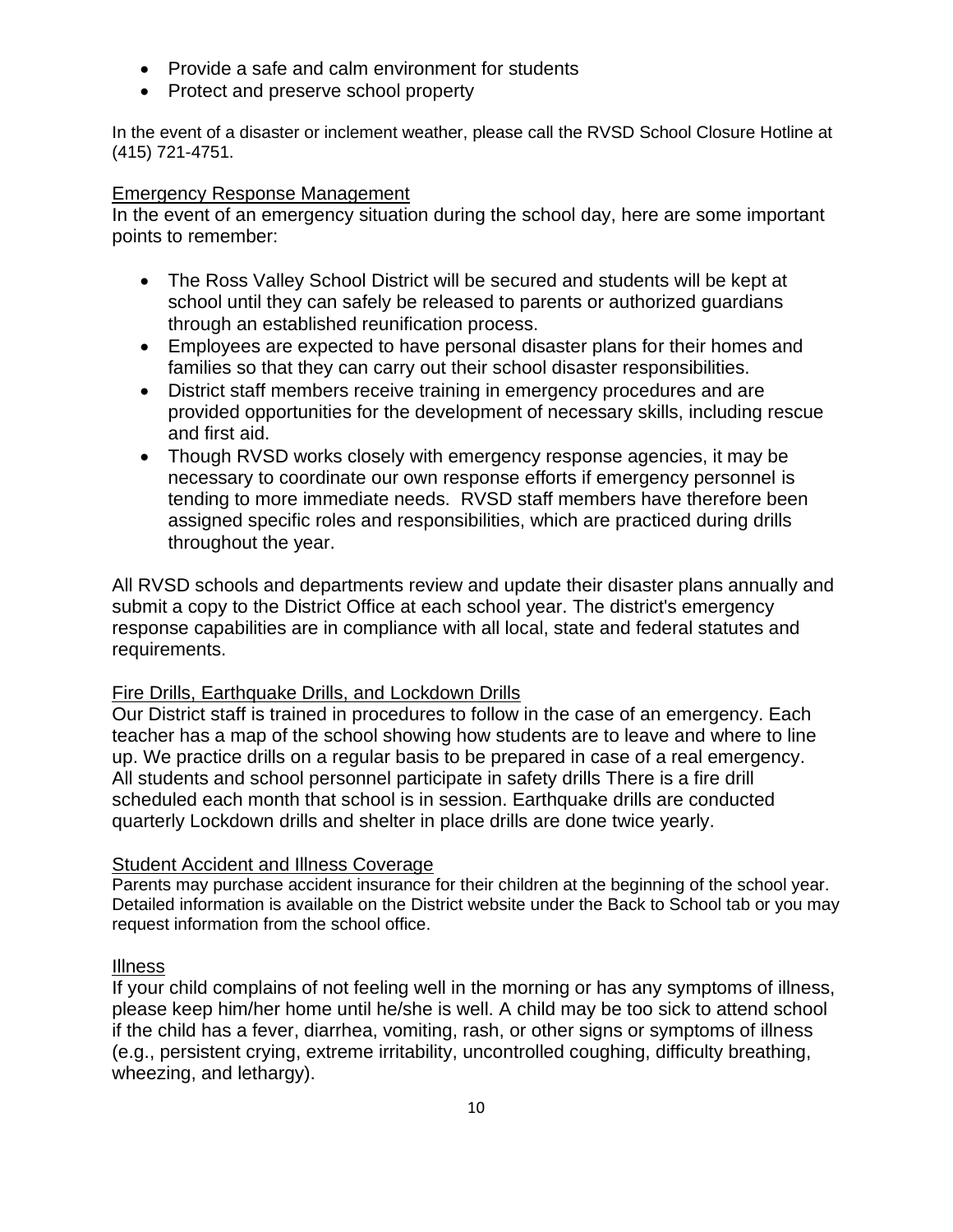- Provide a safe and calm environment for students
- Protect and preserve school property

In the event of a disaster or inclement weather, please call the RVSD School Closure Hotline at (415) 721-4751.

## Emergency Response Management

In the event of an emergency situation during the school day, here are some important points to remember:

- The Ross Valley School District will be secured and students will be kept at school until they can safely be released to parents or authorized guardians through an established reunification process.
- Employees are expected to have personal disaster plans for their homes and families so that they can carry out their school disaster responsibilities.
- District staff members receive training in emergency procedures and are provided opportunities for the development of necessary skills, including rescue and first aid.
- Though RVSD works closely with emergency response agencies, it may be necessary to coordinate our own response efforts if emergency personnel is tending to more immediate needs. RVSD staff members have therefore been assigned specific roles and responsibilities, which are practiced during drills throughout the year.

All RVSD schools and departments review and update their disaster plans annually and submit a copy to the District Office at each school year. The district's emergency response capabilities are in compliance with all local, state and federal statutes and requirements.

## Fire Drills, Earthquake Drills, and Lockdown Drills

Our District staff is trained in procedures to follow in the case of an emergency. Each teacher has a map of the school showing how students are to leave and where to line up. We practice drills on a regular basis to be prepared in case of a real emergency. All students and school personnel participate in safety drills There is a fire drill scheduled each month that school is in session. Earthquake drills are conducted quarterly Lockdown drills and shelter in place drills are done twice yearly.

## Student Accident and Illness Coverage

Parents may purchase accident insurance for their children at the beginning of the school year. Detailed information is available on the District website under the Back to School tab or you may request information from the school office.

## Illness

If your child complains of not feeling well in the morning or has any symptoms of illness, please keep him/her home until he/she is well. A child may be too sick to attend school if the child has a fever, diarrhea, vomiting, rash, or other signs or symptoms of illness (e.g., persistent crying, extreme irritability, uncontrolled coughing, difficulty breathing, wheezing, and lethargy).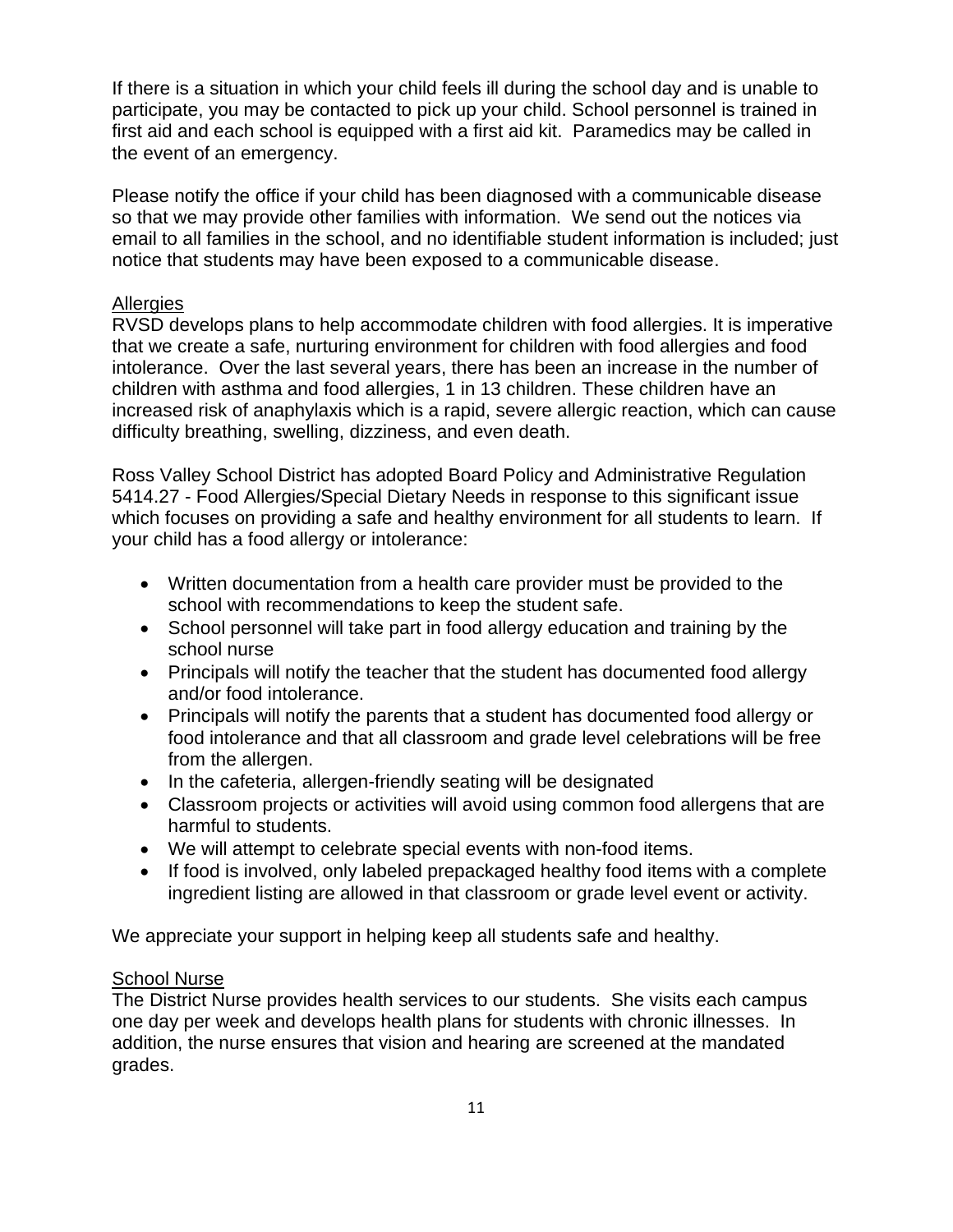If there is a situation in which your child feels ill during the school day and is unable to participate, you may be contacted to pick up your child. School personnel is trained in first aid and each school is equipped with a first aid kit. Paramedics may be called in the event of an emergency.

Please notify the office if your child has been diagnosed with a communicable disease so that we may provide other families with information. We send out the notices via email to all families in the school, and no identifiable student information is included; just notice that students may have been exposed to a communicable disease.

## **Allergies**

RVSD develops plans to help accommodate children with food allergies. It is imperative that we create a safe, nurturing environment for children with food allergies and food intolerance. Over the last several years, there has been an increase in the number of children with asthma and food allergies, 1 in 13 children. These children have an increased risk of anaphylaxis which is a rapid, severe allergic reaction, which can cause difficulty breathing, swelling, dizziness, and even death.

Ross Valley School District has adopted Board Policy and Administrative Regulation 5414.27 - Food Allergies/Special Dietary Needs in response to this significant issue which focuses on providing a safe and healthy environment for all students to learn. If your child has a food allergy or intolerance:

- Written documentation from a health care provider must be provided to the school with recommendations to keep the student safe.
- School personnel will take part in food allergy education and training by the school nurse
- Principals will notify the teacher that the student has documented food allergy and/or food intolerance.
- Principals will notify the parents that a student has documented food allergy or food intolerance and that all classroom and grade level celebrations will be free from the allergen.
- In the cafeteria, allergen-friendly seating will be designated
- Classroom projects or activities will avoid using common food allergens that are harmful to students.
- We will attempt to celebrate special events with non-food items.
- If food is involved, only labeled prepackaged healthy food items with a complete ingredient listing are allowed in that classroom or grade level event or activity.

We appreciate your support in helping keep all students safe and healthy.

## School Nurse

The District Nurse provides health services to our students. She visits each campus one day per week and develops health plans for students with chronic illnesses. In addition, the nurse ensures that vision and hearing are screened at the mandated grades.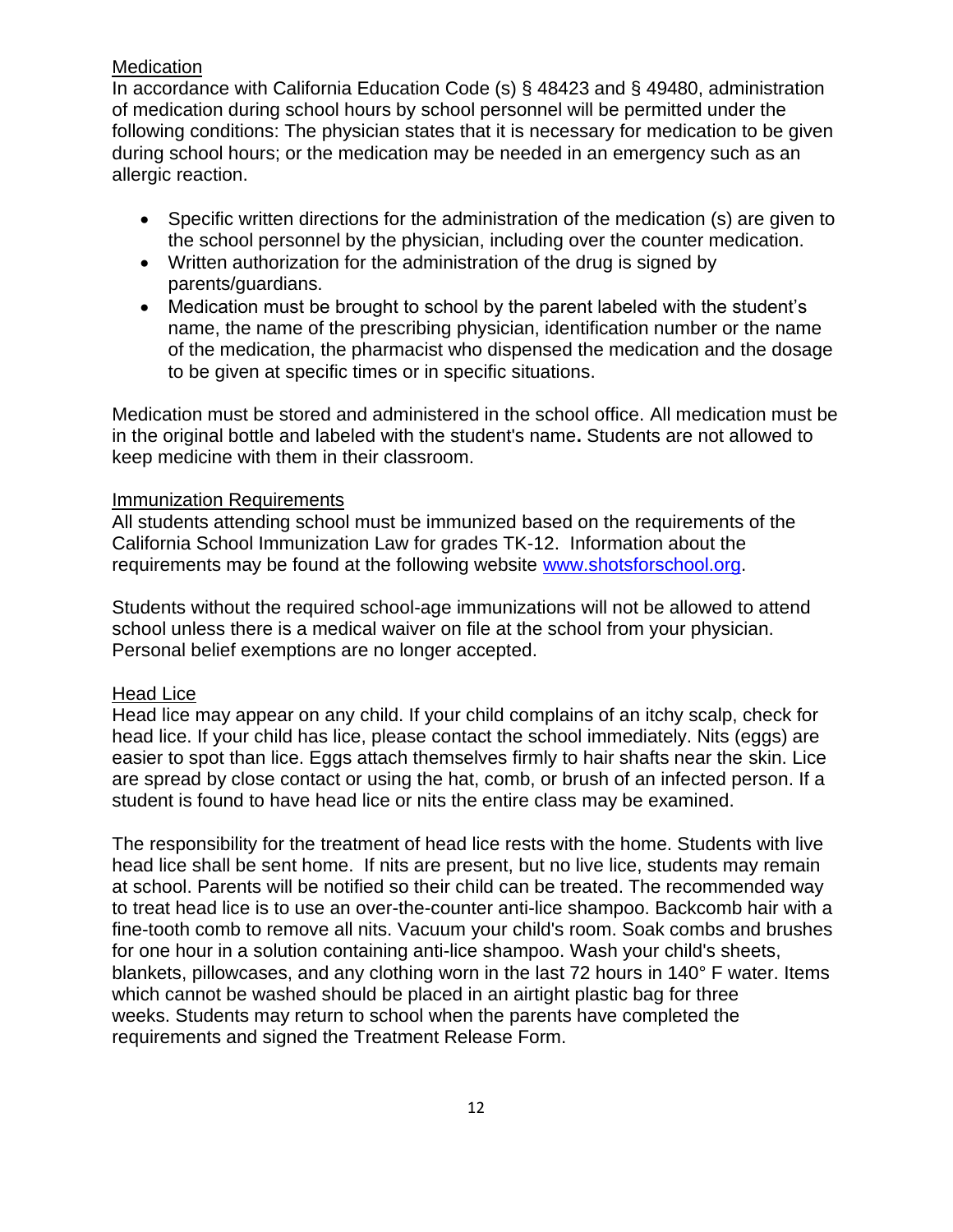## **Medication**

In accordance with California Education Code (s) § 48423 and § 49480, administration of medication during school hours by school personnel will be permitted under the following conditions: The physician states that it is necessary for medication to be given during school hours; or the medication may be needed in an emergency such as an allergic reaction.

- Specific written directions for the administration of the medication (s) are given to the school personnel by the physician, including over the counter medication.
- Written authorization for the administration of the drug is signed by parents/guardians.
- Medication must be brought to school by the parent labeled with the student's name, the name of the prescribing physician, identification number or the name of the medication, the pharmacist who dispensed the medication and the dosage to be given at specific times or in specific situations.

Medication must be stored and administered in the school office. All medication must be in the original bottle and labeled with the student's name**.** Students are not allowed to keep medicine with them in their classroom.

#### Immunization Requirements

All students attending school must be immunized based on the requirements of the California School Immunization Law for grades TK-12. Information about the requirements may be found at the following website [www.shotsforschool.org.](http://www.shotsforschool.org/)

Students without the required school-age immunizations will not be allowed to attend school unless there is a medical waiver on file at the school from your physician. Personal belief exemptions are no longer accepted.

## Head Lice

Head lice may appear on any child. If your child complains of an itchy scalp, check for head lice. If your child has lice, please contact the school immediately. Nits (eggs) are easier to spot than lice. Eggs attach themselves firmly to hair shafts near the skin. Lice are spread by close contact or using the hat, comb, or brush of an infected person. If a student is found to have head lice or nits the entire class may be examined.

The responsibility for the treatment of head lice rests with the home. Students with live head lice shall be sent home. If nits are present, but no live lice, students may remain at school. Parents will be notified so their child can be treated. The recommended way to treat head lice is to use an over-the-counter anti-lice shampoo. Backcomb hair with a fine-tooth comb to remove all nits. Vacuum your child's room. Soak combs and brushes for one hour in a solution containing anti-lice shampoo. Wash your child's sheets, blankets, pillowcases, and any clothing worn in the last 72 hours in 140° F water. Items which cannot be washed should be placed in an airtight plastic bag for three weeks. Students may return to school when the parents have completed the requirements and signed the Treatment Release Form.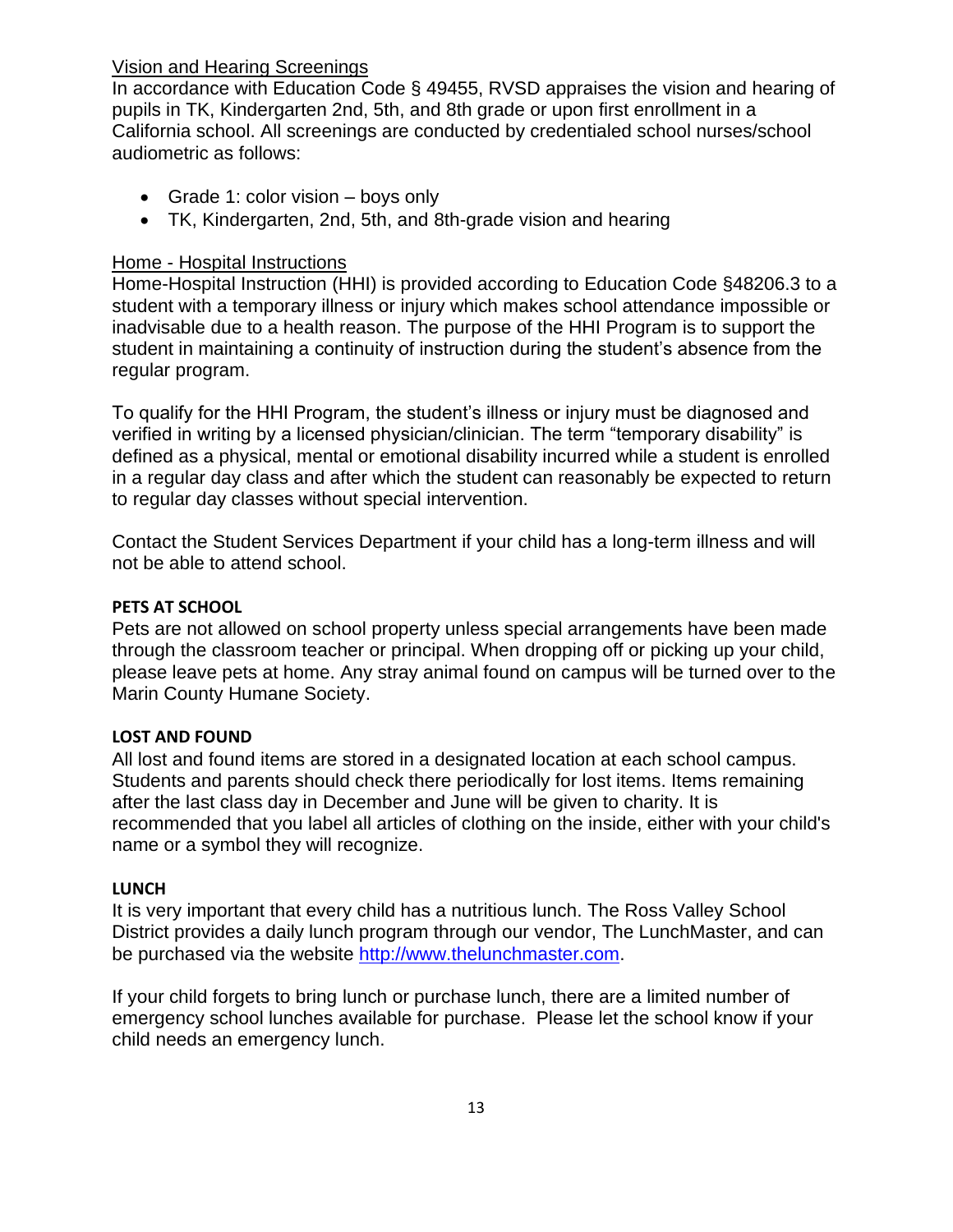## Vision and Hearing Screenings

In accordance with Education Code § 49455, RVSD appraises the vision and hearing of pupils in TK, Kindergarten 2nd, 5th, and 8th grade or upon first enrollment in a California school. All screenings are conducted by credentialed school nurses/school audiometric as follows:

- Grade 1: color vision boys only
- TK, Kindergarten, 2nd, 5th, and 8th-grade vision and hearing

## Home - Hospital Instructions

Home-Hospital Instruction (HHI) is provided according to Education Code §48206.3 to a student with a temporary illness or injury which makes school attendance impossible or inadvisable due to a health reason. The purpose of the HHI Program is to support the student in maintaining a continuity of instruction during the student's absence from the regular program.

To qualify for the HHI Program, the student's illness or injury must be diagnosed and verified in writing by a licensed physician/clinician. The term "temporary disability" is defined as a physical, mental or emotional disability incurred while a student is enrolled in a regular day class and after which the student can reasonably be expected to return to regular day classes without special intervention.

Contact the Student Services Department if your child has a long-term illness and will not be able to attend school.

## **PETS AT SCHOOL**

Pets are not allowed on school property unless special arrangements have been made through the classroom teacher or principal. When dropping off or picking up your child, please leave pets at home. Any stray animal found on campus will be turned over to the Marin County Humane Society.

#### **LOST AND FOUND**

All lost and found items are stored in a designated location at each school campus. Students and parents should check there periodically for lost items. Items remaining after the last class day in December and June will be given to charity. It is recommended that you label all articles of clothing on the inside, either with your child's name or a symbol they will recognize.

#### **LUNCH**

It is very important that every child has a nutritious lunch. The Ross Valley School District provides a daily lunch program through our vendor, The LunchMaster, and can be purchased via the website [http://www.thelunchmaster.com.](http://www.thelunchmaster.com/)

If your child forgets to bring lunch or purchase lunch, there are a limited number of emergency school lunches available for purchase. Please let the school know if your child needs an emergency lunch.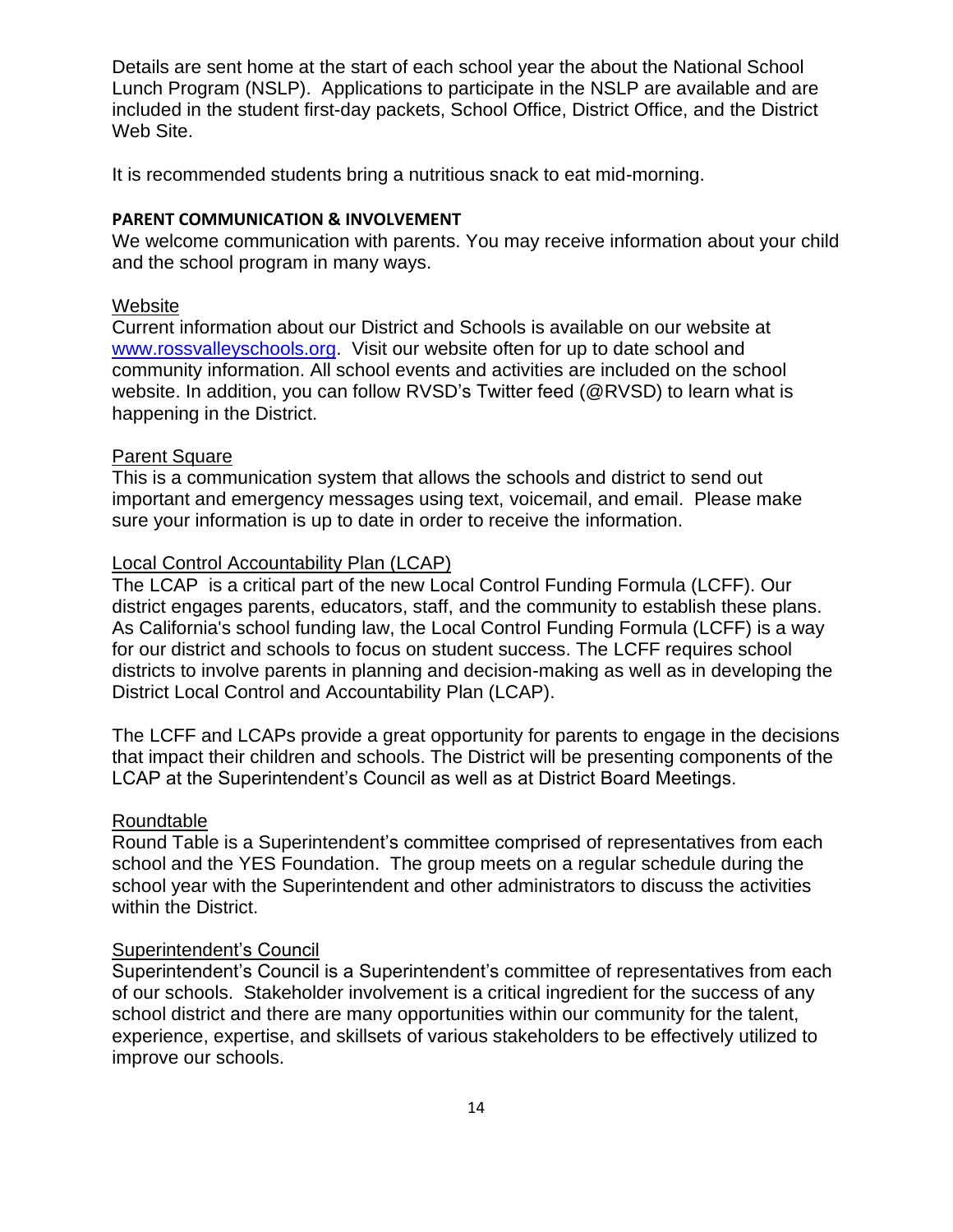Details are sent home at the start of each school year the about the National School Lunch Program (NSLP). Applications to participate in the NSLP are available and are included in the student first-day packets, School Office, District Office, and the District Web Site.

It is recommended students bring a nutritious snack to eat mid-morning.

#### **PARENT COMMUNICATION & INVOLVEMENT**

We welcome communication with parents. You may receive information about your child and the school program in many ways.

#### Website

Current information about our District and Schools is available on our website at [www.rossvalleyschools.org.](http://www.rossvalleyschools.org/) Visit our website often for up to date school and community information. All school events and activities are included on the school website. In addition, you can follow RVSD's Twitter feed (@RVSD) to learn what is happening in the District.

#### Parent Square

This is a communication system that allows the schools and district to send out important and emergency messages using text, voicemail, and email. Please make sure your information is up to date in order to receive the information.

#### Local Control Accountability Plan (LCAP)

The LCAP is a critical part of the new Local Control Funding Formula (LCFF). Our district engages parents, educators, staff, and the community to establish these plans. As California's school funding law, the Local Control Funding Formula (LCFF) is a way for our district and schools to focus on student success. The LCFF requires school districts to involve parents in planning and decision-making as well as in developing the District Local Control and Accountability Plan (LCAP).

The LCFF and LCAPs provide a great opportunity for parents to engage in the decisions that impact their children and schools. The District will be presenting components of the LCAP at the Superintendent's Council as well as at District Board Meetings.

## Roundtable

Round Table is a Superintendent's committee comprised of representatives from each school and the YES Foundation. The group meets on a regular schedule during the school year with the Superintendent and other administrators to discuss the activities within the District.

#### Superintendent's Council

Superintendent's Council is a Superintendent's committee of representatives from each of our schools. Stakeholder involvement is a critical ingredient for the success of any school district and there are many opportunities within our community for the talent, experience, expertise, and skillsets of various stakeholders to be effectively utilized to improve our schools.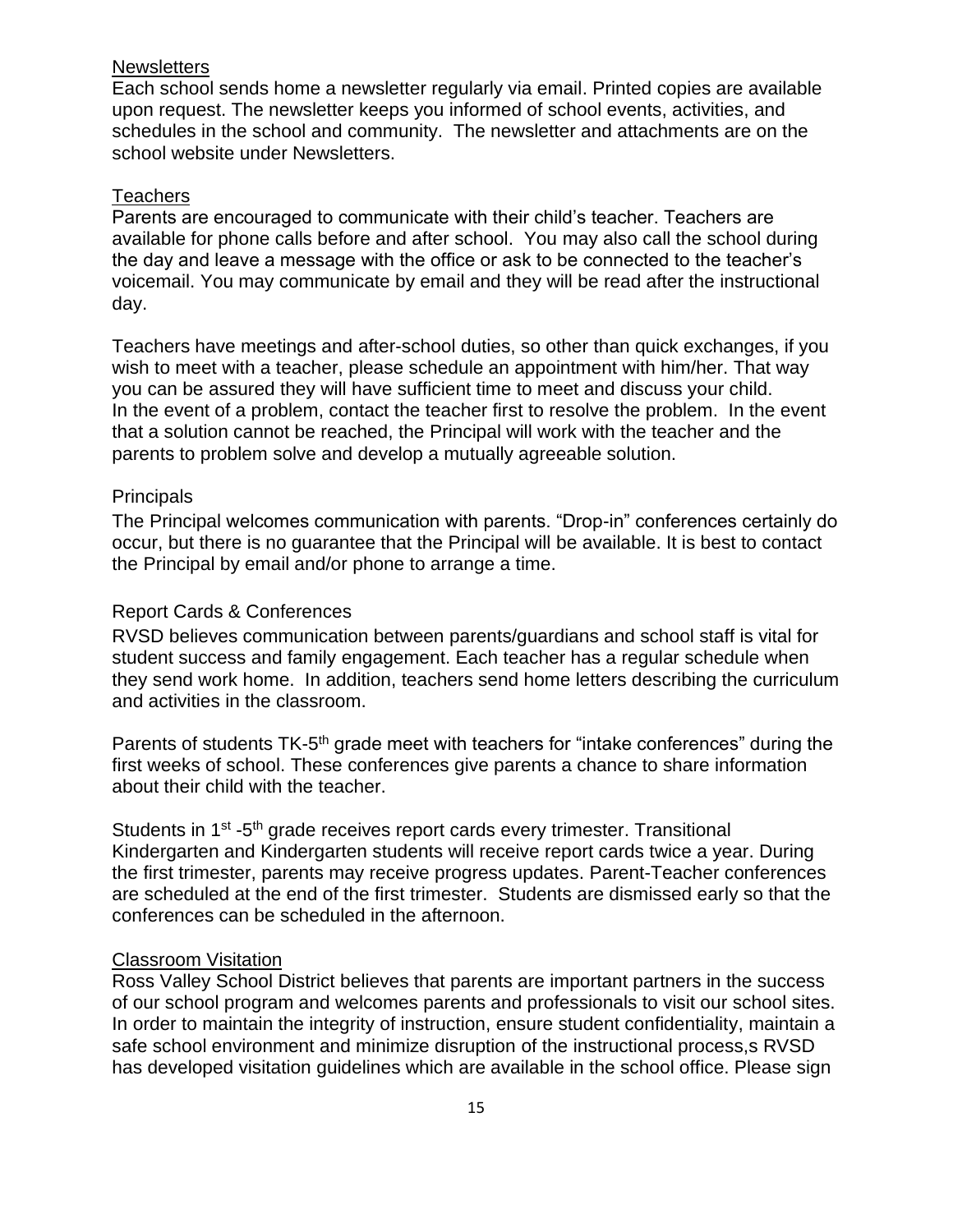#### **Newsletters**

Each school sends home a newsletter regularly via email. Printed copies are available upon request. The newsletter keeps you informed of school events, activities, and schedules in the school and community. The newsletter and attachments are on the school website under Newsletters.

#### **Teachers**

Parents are encouraged to communicate with their child's teacher. Teachers are available for phone calls before and after school. You may also call the school during the day and leave a message with the office or ask to be connected to the teacher's voicemail. You may communicate by email and they will be read after the instructional day.

Teachers have meetings and after-school duties, so other than quick exchanges, if you wish to meet with a teacher, please schedule an appointment with him/her. That way you can be assured they will have sufficient time to meet and discuss your child. In the event of a problem, contact the teacher first to resolve the problem. In the event that a solution cannot be reached, the Principal will work with the teacher and the parents to problem solve and develop a mutually agreeable solution.

#### **Principals**

The Principal welcomes communication with parents. "Drop-in" conferences certainly do occur, but there is no guarantee that the Principal will be available. It is best to contact the Principal by email and/or phone to arrange a time.

#### Report Cards & Conferences

RVSD believes communication between parents/guardians and school staff is vital for student success and family engagement. Each teacher has a regular schedule when they send work home. In addition, teachers send home letters describing the curriculum and activities in the classroom.

Parents of students TK-5<sup>th</sup> grade meet with teachers for "intake conferences" during the first weeks of school. These conferences give parents a chance to share information about their child with the teacher.

Students in 1<sup>st</sup> -5<sup>th</sup> grade receives report cards every trimester. Transitional Kindergarten and Kindergarten students will receive report cards twice a year. During the first trimester, parents may receive progress updates. Parent-Teacher conferences are scheduled at the end of the first trimester. Students are dismissed early so that the conferences can be scheduled in the afternoon.

#### Classroom Visitation

Ross Valley School District believes that parents are important partners in the success of our school program and welcomes parents and professionals to visit our school sites. In order to maintain the integrity of instruction, ensure student confidentiality, maintain a safe school environment and minimize disruption of the instructional process,s RVSD has developed visitation guidelines which are available in the school office. Please sign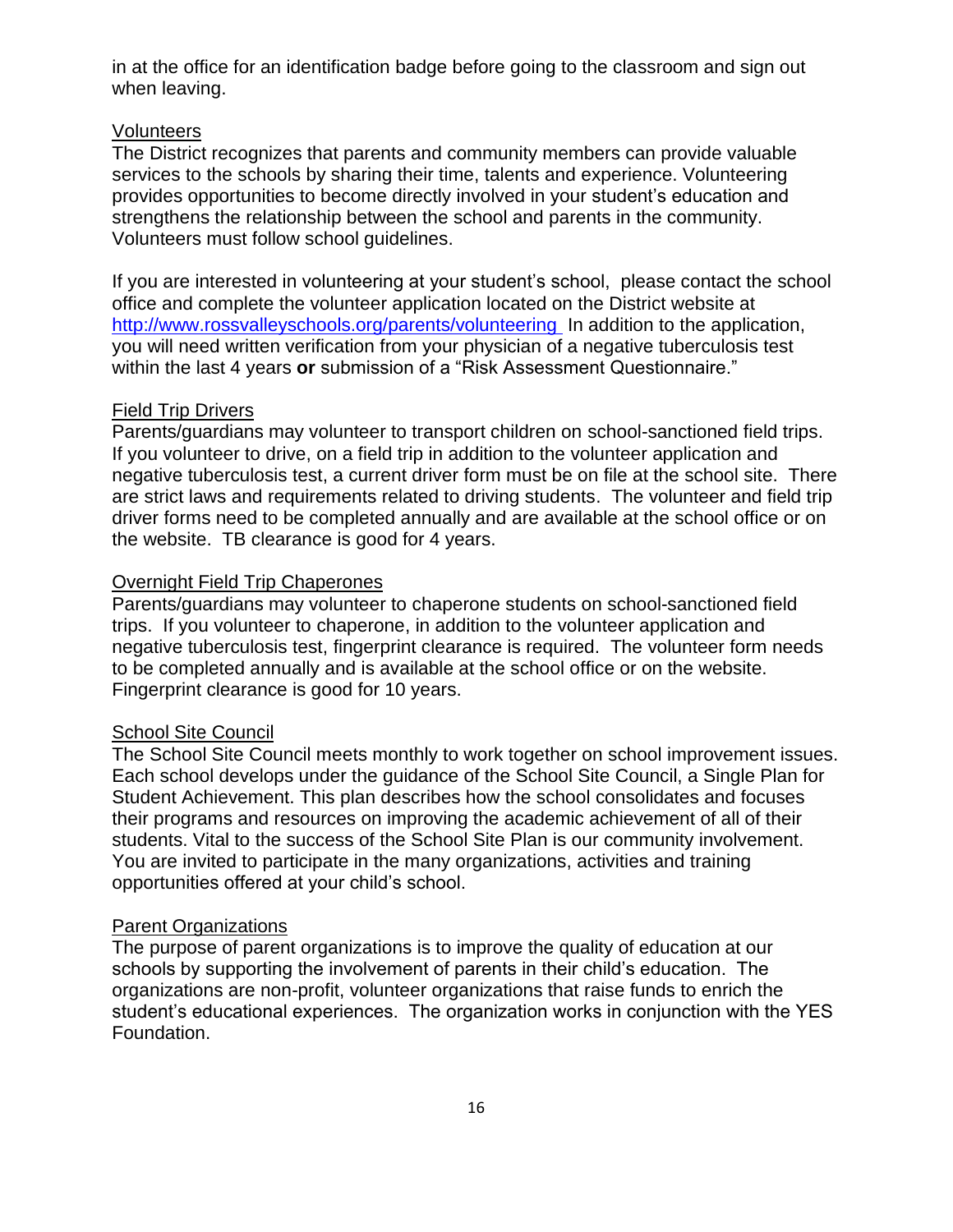in at the office for an identification badge before going to the classroom and sign out when leaving.

#### Volunteers

The District recognizes that parents and community members can provide valuable services to the schools by sharing their time, talents and experience. Volunteering provides opportunities to become directly involved in your student's education and strengthens the relationship between the school and parents in the community. Volunteers must follow school guidelines.

If you are interested in volunteering at your student's school, please contact the school office and complete the volunteer application located on the District website at <http://www.rossvalleyschools.org/parents/volunteering> In addition to the application, you will need written verification from your physician of a negative tuberculosis test within the last 4 years **or** submission of a "Risk Assessment Questionnaire."

## Field Trip Drivers

Parents/guardians may volunteer to transport children on school-sanctioned field trips. If you volunteer to drive, on a field trip in addition to the volunteer application and negative tuberculosis test, a current driver form must be on file at the school site. There are strict laws and requirements related to driving students. The volunteer and field trip driver forms need to be completed annually and are available at the school office or on the website. TB clearance is good for 4 years.

## **Overnight Field Trip Chaperones**

Parents/guardians may volunteer to chaperone students on school-sanctioned field trips. If you volunteer to chaperone, in addition to the volunteer application and negative tuberculosis test, fingerprint clearance is required. The volunteer form needs to be completed annually and is available at the school office or on the website. Fingerprint clearance is good for 10 years.

#### **School Site Council**

The School Site Council meets monthly to work together on school improvement issues. Each school develops under the guidance of the School Site Council, a Single Plan for Student Achievement. This plan describes how the school consolidates and focuses their programs and resources on improving the academic achievement of all of their students. Vital to the success of the School Site Plan is our community involvement. You are invited to participate in the many organizations, activities and training opportunities offered at your child's school.

#### Parent Organizations

The purpose of parent organizations is to improve the quality of education at our schools by supporting the involvement of parents in their child's education. The organizations are non-profit, volunteer organizations that raise funds to enrich the student's educational experiences. The organization works in conjunction with the YES Foundation.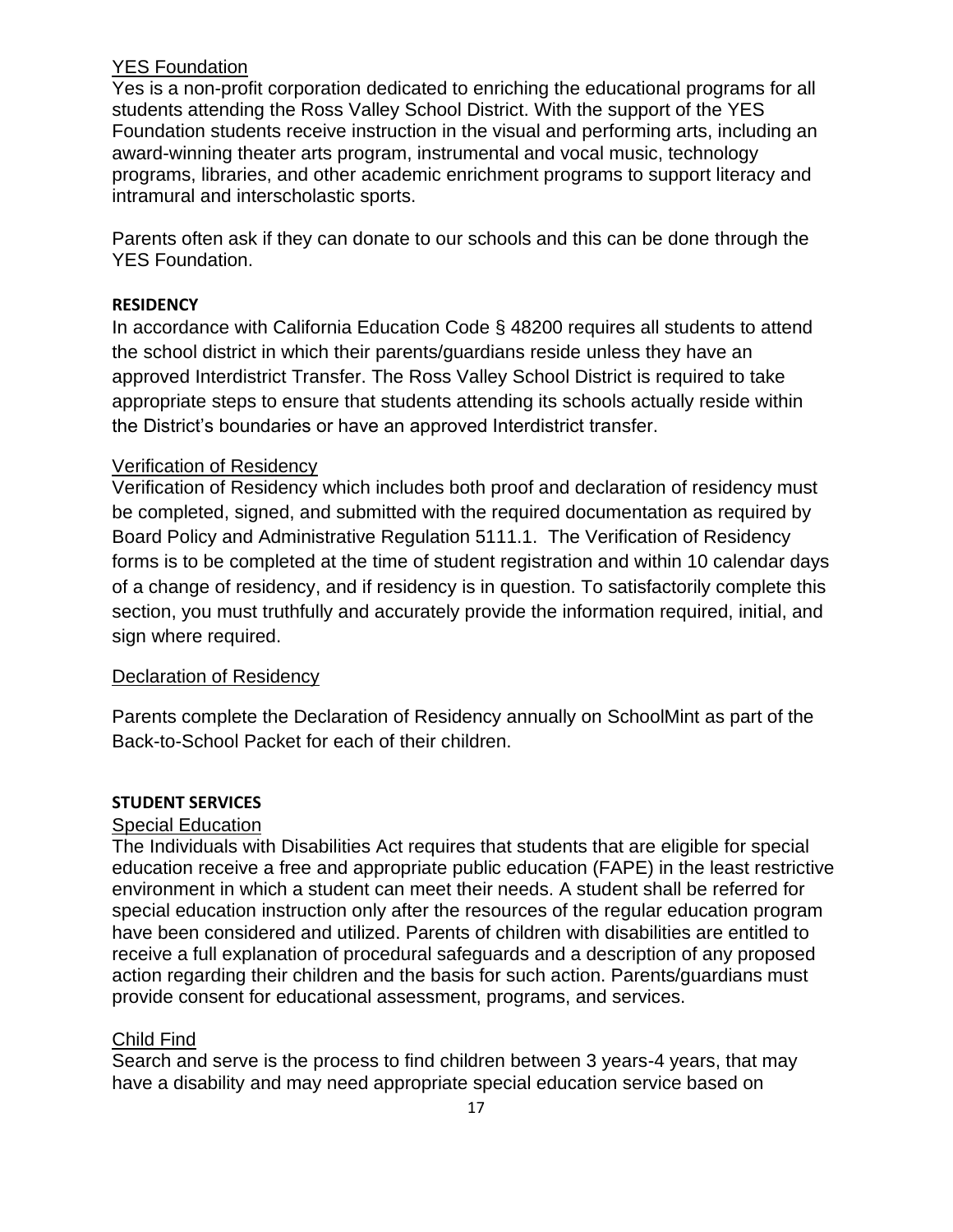## YES Foundation

Yes is a non-profit corporation dedicated to enriching the educational programs for all students attending the Ross Valley School District. With the support of the YES Foundation students receive instruction in the visual and performing arts, including an award-winning theater arts program, instrumental and vocal music, technology programs, libraries, and other academic enrichment programs to support literacy and intramural and interscholastic sports.

Parents often ask if they can donate to our schools and this can be done through the YES Foundation.

## **RESIDENCY**

In accordance with California Education Code § 48200 requires all students to attend the school district in which their parents/guardians reside unless they have an approved Interdistrict Transfer. The Ross Valley School District is required to take appropriate steps to ensure that students attending its schools actually reside within the District's boundaries or have an approved Interdistrict transfer.

## Verification of Residency

Verification of Residency which includes both proof and declaration of residency must be completed, signed, and submitted with the required documentation as required by Board Policy and Administrative Regulation 5111.1. The Verification of Residency forms is to be completed at the time of student registration and within 10 calendar days of a change of residency, and if residency is in question. To satisfactorily complete this section, you must truthfully and accurately provide the information required, initial, and sign where required.

## Declaration of Residency

Parents complete the Declaration of Residency annually on SchoolMint as part of the Back-to-School Packet for each of their children.

## **STUDENT SERVICES**

## **Special Education**

The Individuals with Disabilities Act requires that students that are eligible for special education receive a free and appropriate public education (FAPE) in the least restrictive environment in which a student can meet their needs. A student shall be referred for special education instruction only after the resources of the regular education program have been considered and utilized. Parents of children with disabilities are entitled to receive a full explanation of procedural safeguards and a description of any proposed action regarding their children and the basis for such action. Parents/guardians must provide consent for educational assessment, programs, and services.

## Child Find

Search and serve is the process to find children between 3 years-4 years, that may have a disability and may need appropriate special education service based on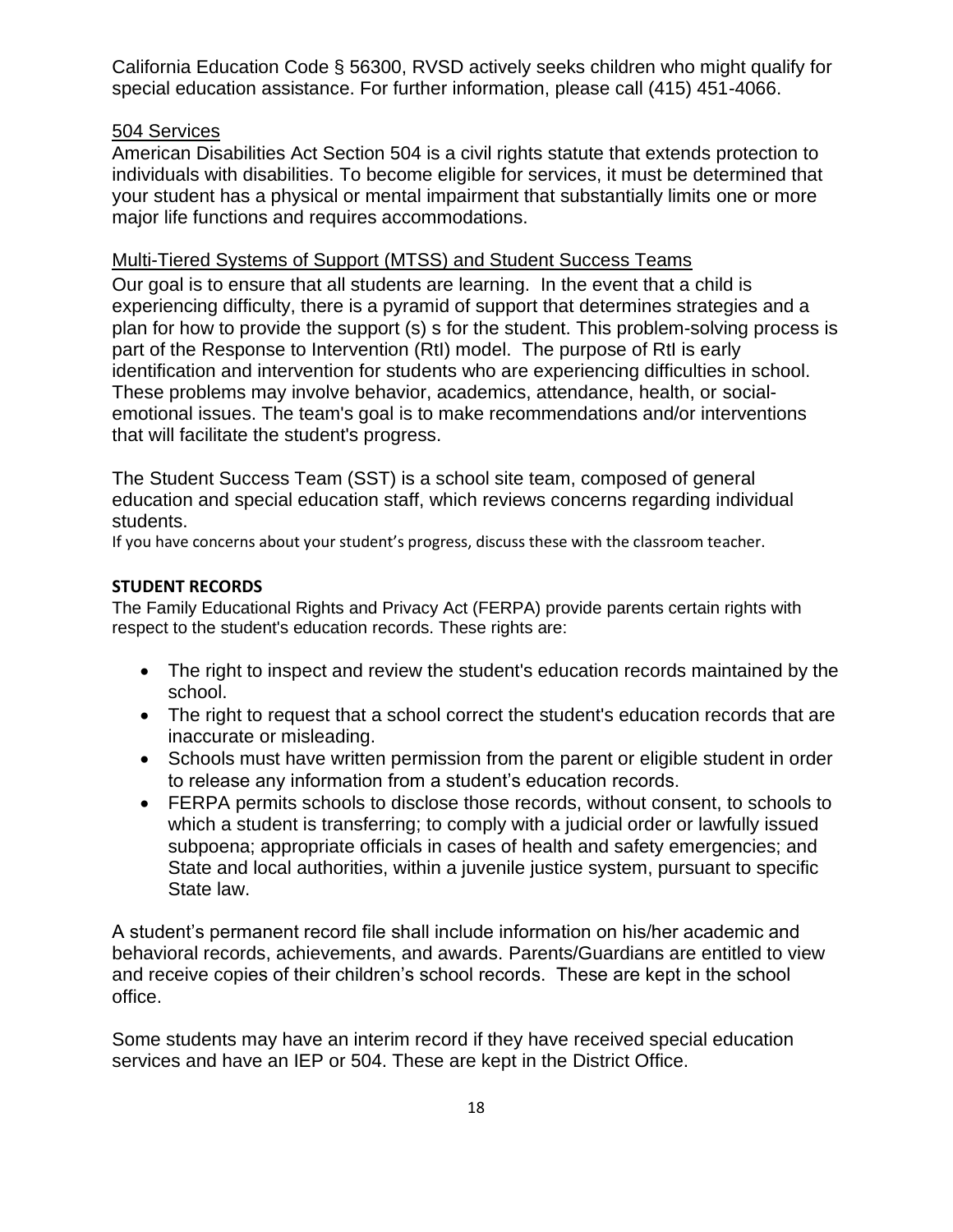California Education Code § 56300, RVSD actively seeks children who might qualify for special education assistance. For further information, please call (415) 451-4066.

## 504 Services

American Disabilities Act Section 504 is a civil rights statute that extends protection to individuals with disabilities. To become eligible for services, it must be determined that your student has a physical or mental impairment that substantially limits one or more major life functions and requires accommodations.

## Multi-Tiered Systems of Support (MTSS) and Student Success Teams

Our goal is to ensure that all students are learning. In the event that a child is experiencing difficulty, there is a pyramid of support that determines strategies and a plan for how to provide the support (s) s for the student. This problem-solving process is part of the Response to Intervention (RtI) model. The purpose of RtI is early identification and intervention for students who are experiencing difficulties in school. These problems may involve behavior, academics, attendance, health, or socialemotional issues. The team's goal is to make recommendations and/or interventions that will facilitate the student's progress.

The Student Success Team (SST) is a school site team, composed of general education and special education staff, which reviews concerns regarding individual students.

If you have concerns about your student's progress, discuss these with the classroom teacher.

## **STUDENT RECORDS**

The Family Educational Rights and Privacy Act (FERPA) provide parents certain rights with respect to the student's education records. These rights are:

- The right to inspect and review the student's education records maintained by the school.
- The right to request that a school correct the student's education records that are inaccurate or misleading.
- Schools must have written permission from the parent or eligible student in order to release any information from a student's education records.
- FERPA permits schools to disclose those records, without consent, to schools to which a student is transferring; to comply with a judicial order or lawfully issued subpoena; appropriate officials in cases of health and safety emergencies; and State and local authorities, within a juvenile justice system, pursuant to specific State law.

A student's permanent record file shall include information on his/her academic and behavioral records, achievements, and awards. Parents/Guardians are entitled to view and receive copies of their children's school records. These are kept in the school office.

Some students may have an interim record if they have received special education services and have an IEP or 504. These are kept in the District Office.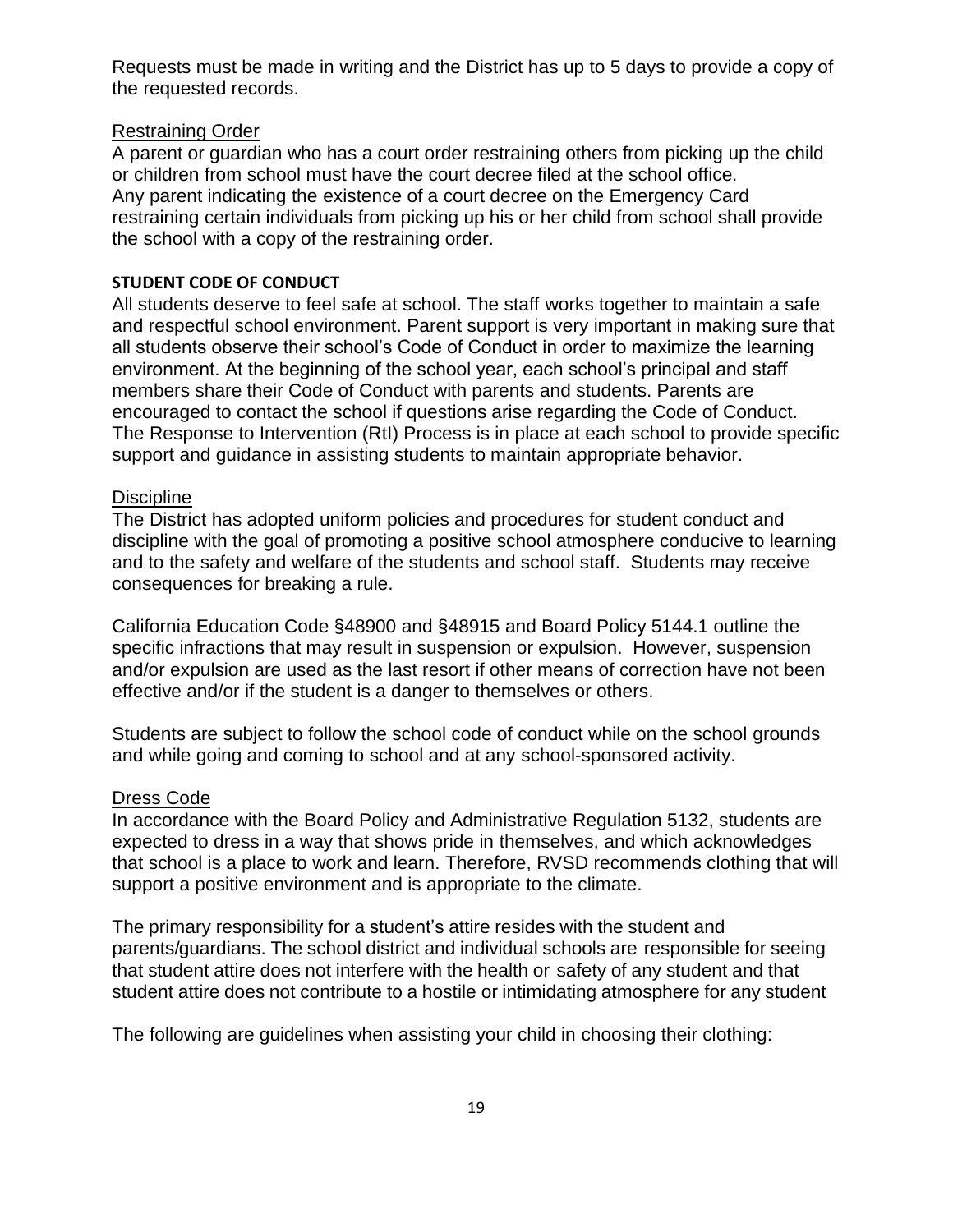Requests must be made in writing and the District has up to 5 days to provide a copy of the requested records.

#### Restraining Order

A parent or guardian who has a court order restraining others from picking up the child or children from school must have the court decree filed at the school office. Any parent indicating the existence of a court decree on the Emergency Card restraining certain individuals from picking up his or her child from school shall provide the school with a copy of the restraining order.

## **STUDENT CODE OF CONDUCT**

All students deserve to feel safe at school. The staff works together to maintain a safe and respectful school environment. Parent support is very important in making sure that all students observe their school's Code of Conduct in order to maximize the learning environment. At the beginning of the school year, each school's principal and staff members share their Code of Conduct with parents and students. Parents are encouraged to contact the school if questions arise regarding the Code of Conduct. The Response to Intervention (RtI) Process is in place at each school to provide specific support and guidance in assisting students to maintain appropriate behavior.

#### **Discipline**

The District has adopted uniform policies and procedures for student conduct and discipline with the goal of promoting a positive school atmosphere conducive to learning and to the safety and welfare of the students and school staff. Students may receive consequences for breaking a rule.

California Education Code §48900 and §48915 and Board Policy 5144.1 outline the specific infractions that may result in suspension or expulsion. However, suspension and/or expulsion are used as the last resort if other means of correction have not been effective and/or if the student is a danger to themselves or others.

Students are subject to follow the school code of conduct while on the school grounds and while going and coming to school and at any school-sponsored activity.

## Dress Code

In accordance with the Board Policy and Administrative Regulation 5132, students are expected to dress in a way that shows pride in themselves, and which acknowledges that school is a place to work and learn. Therefore, RVSD recommends clothing that will support a positive environment and is appropriate to the climate.

The primary responsibility for a student's attire resides with the student and parents/guardians. The school district and individual schools are responsible for seeing that student attire does not interfere with the health or safety of any student and that student attire does not contribute to a hostile or intimidating atmosphere for any student

The following are guidelines when assisting your child in choosing their clothing: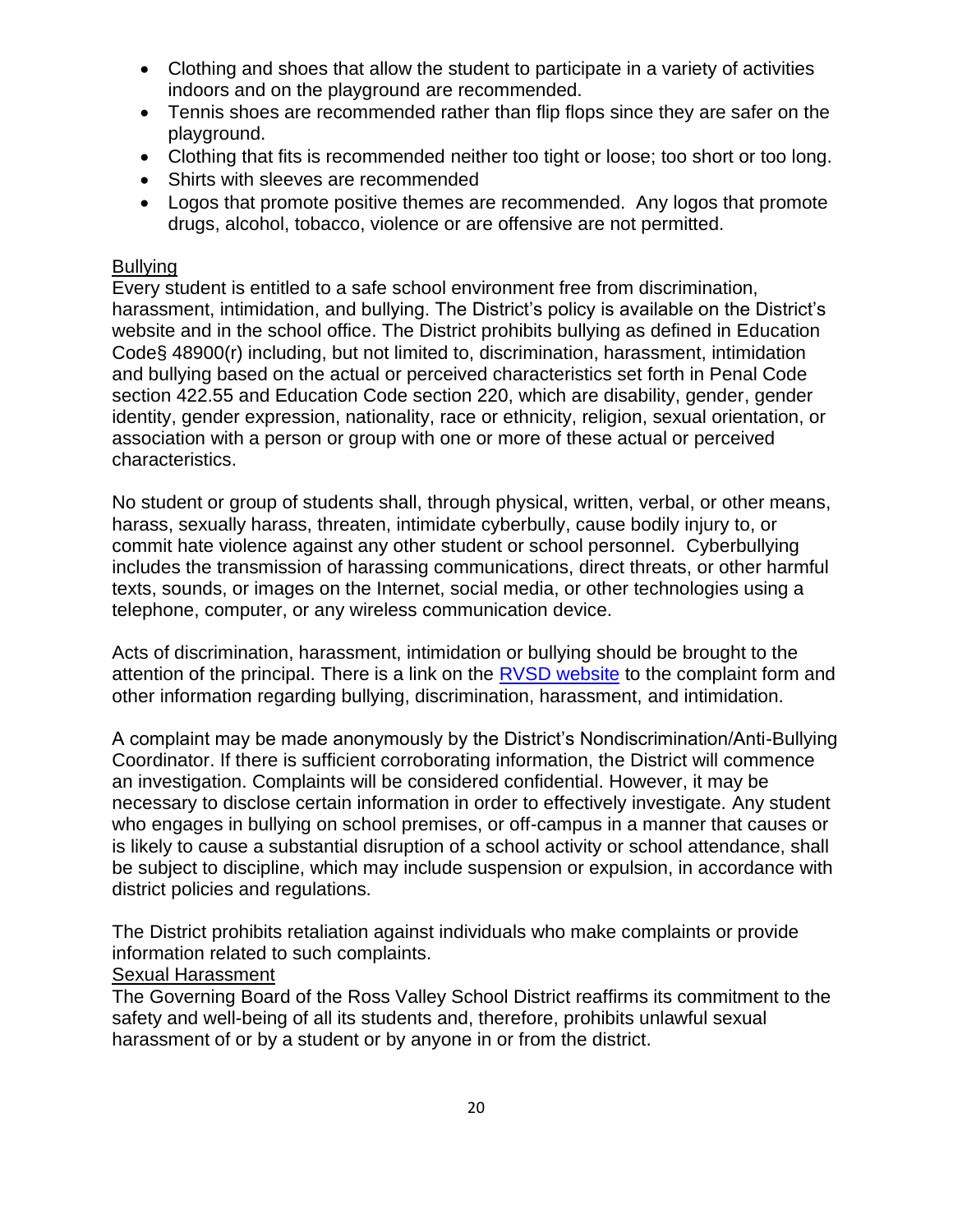- Clothing and shoes that allow the student to participate in a variety of activities indoors and on the playground are recommended.
- Tennis shoes are recommended rather than flip flops since they are safer on the playground.
- Clothing that fits is recommended neither too tight or loose; too short or too long.
- Shirts with sleeves are recommended
- Logos that promote positive themes are recommended. Any logos that promote drugs, alcohol, tobacco, violence or are offensive are not permitted.

## **Bullving**

Every student is entitled to a safe school environment free from discrimination, harassment, intimidation, and bullying. The District's policy is available on the District's website and in the school office. The District prohibits bullying as defined in Education Code§ 48900(r) including, but not limited to, discrimination, harassment, intimidation and bullying based on the actual or perceived characteristics set forth in Penal Code section 422.55 and Education Code section 220, which are disability, gender, gender identity, gender expression, nationality, race or ethnicity, religion, sexual orientation, or association with a person or group with one or more of these actual or perceived characteristics.

No student or group of students shall, through physical, written, verbal, or other means, harass, sexually harass, threaten, intimidate cyberbully, cause bodily injury to, or commit hate violence against any other student or school personnel. Cyberbullying includes the transmission of harassing communications, direct threats, or other harmful texts, sounds, or images on the Internet, social media, or other technologies using a telephone, computer, or any wireless communication device.

Acts of discrimination, harassment, intimidation or bullying should be brought to the attention of the principal. There is a link on the [RVSD website](https://docs.google.com/forms/d/e/1FAIpQLSdwAk0FFc0DAGc0dDDY3YxXdSrOz0BzsR9p-MAPAlLxcYW_9A/viewform) to the complaint form and other information regarding bullying, discrimination, harassment, and intimidation.

A complaint may be made anonymously by the District's Nondiscrimination/Anti-Bullying Coordinator. If there is sufficient corroborating information, the District will commence an investigation. Complaints will be considered confidential. However, it may be necessary to disclose certain information in order to effectively investigate. Any student who engages in bullying on school premises, or off-campus in a manner that causes or is likely to cause a substantial disruption of a school activity or school attendance, shall be subject to discipline, which may include suspension or expulsion, in accordance with district policies and regulations.

The District prohibits retaliation against individuals who make complaints or provide information related to such complaints.

## Sexual Harassment

The Governing Board of the Ross Valley School District reaffirms its commitment to the safety and well-being of all its students and, therefore, prohibits unlawful sexual harassment of or by a student or by anyone in or from the district.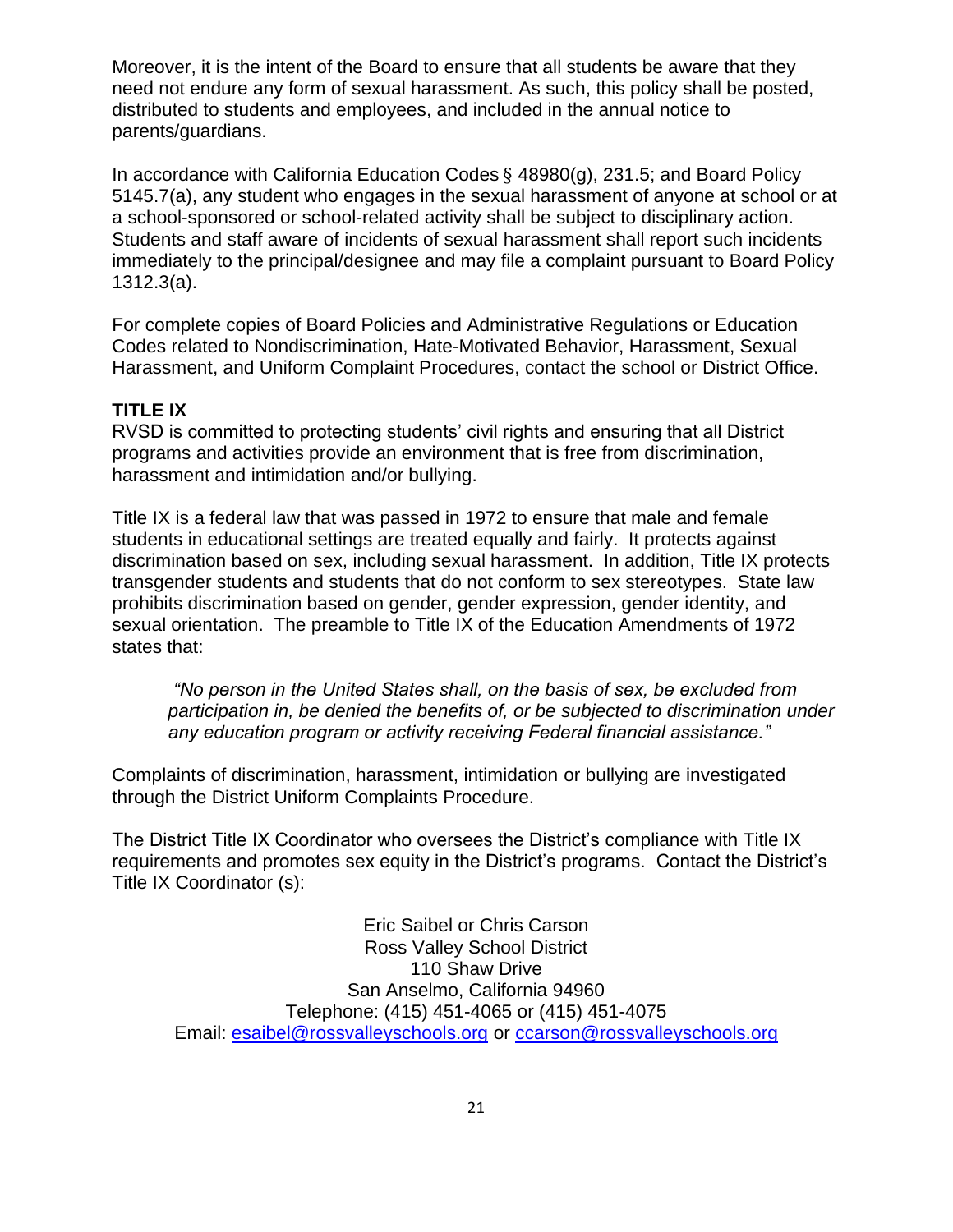Moreover, it is the intent of the Board to ensure that all students be aware that they need not endure any form of sexual harassment. As such, this policy shall be posted, distributed to students and employees, and included in the annual notice to parents/guardians.

In accordance with California Education Codes § 48980(g), 231.5; and Board Policy 5145.7(a), any student who engages in the sexual harassment of anyone at school or at a school-sponsored or school-related activity shall be subject to disciplinary action. Students and staff aware of incidents of sexual harassment shall report such incidents immediately to the principal/designee and may file a complaint pursuant to Board Policy 1312.3(a).

For complete copies of Board Policies and Administrative Regulations or Education Codes related to Nondiscrimination, Hate-Motivated Behavior, Harassment, Sexual Harassment, and Uniform Complaint Procedures, contact the school or District Office.

## **TITLE IX**

RVSD is committed to protecting students' civil rights and ensuring that all District programs and activities provide an environment that is free from discrimination, harassment and intimidation and/or bullying.

Title IX is a federal law that was passed in 1972 to ensure that male and female students in educational settings are treated equally and fairly. It protects against discrimination based on sex, including sexual harassment. In addition, Title IX protects transgender students and students that do not conform to sex stereotypes. State law prohibits discrimination based on gender, gender expression, gender identity, and sexual orientation. The preamble to Title IX of the Education Amendments of 1972 states that:

*"No person in the United States shall, on the basis of sex, be excluded from participation in, be denied the benefits of, or be subjected to discrimination under any education program or activity receiving Federal financial assistance."*

Complaints of discrimination, harassment, intimidation or bullying are investigated through the District Uniform Complaints Procedure.

The District Title IX Coordinator who oversees the District's compliance with Title IX requirements and promotes sex equity in the District's programs. Contact the District's Title IX Coordinator (s):

Eric Saibel or Chris Carson Ross Valley School District 110 Shaw Drive San Anselmo, California 94960 Telephone: (415) 451-4065 or (415) 451-4075 Email: [esaibel@rossvalleyschools.org](mailto:esaibel@rossvalleyschools.org) or [ccarson@rossvalleyschools.org](mailto:ccarson@rossvalleyschools.org)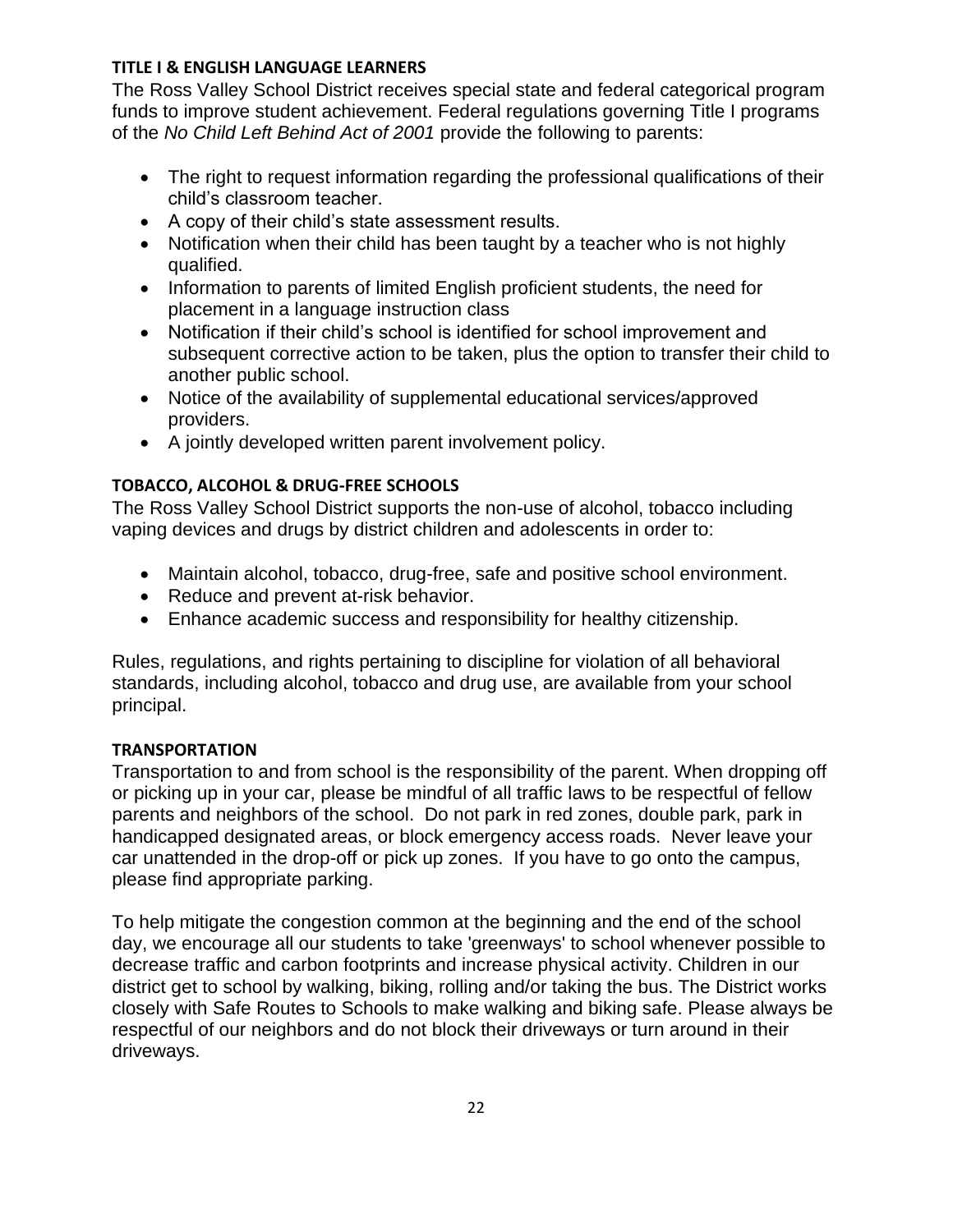## **TITLE I & ENGLISH LANGUAGE LEARNERS**

The Ross Valley School District receives special state and federal categorical program funds to improve student achievement. Federal regulations governing Title I programs of the *No Child Left Behind Act of 2001* provide the following to parents:

- The right to request information regarding the professional qualifications of their child's classroom teacher.
- A copy of their child's state assessment results.
- Notification when their child has been taught by a teacher who is not highly qualified.
- Information to parents of limited English proficient students, the need for placement in a language instruction class
- Notification if their child's school is identified for school improvement and subsequent corrective action to be taken, plus the option to transfer their child to another public school.
- Notice of the availability of supplemental educational services/approved providers.
- A jointly developed written parent involvement policy.

## **TOBACCO, ALCOHOL & DRUG-FREE SCHOOLS**

The Ross Valley School District supports the non-use of alcohol, tobacco including vaping devices and drugs by district children and adolescents in order to:

- Maintain alcohol, tobacco, drug-free, safe and positive school environment.
- Reduce and prevent at-risk behavior.
- Enhance academic success and responsibility for healthy citizenship.

Rules, regulations, and rights pertaining to discipline for violation of all behavioral standards, including alcohol, tobacco and drug use, are available from your school principal.

## **TRANSPORTATION**

Transportation to and from school is the responsibility of the parent. When dropping off or picking up in your car, please be mindful of all traffic laws to be respectful of fellow parents and neighbors of the school. Do not park in red zones, double park, park in handicapped designated areas, or block emergency access roads. Never leave your car unattended in the drop-off or pick up zones. If you have to go onto the campus, please find appropriate parking.

To help mitigate the congestion common at the beginning and the end of the school day, we encourage all our students to take 'greenways' to school whenever possible to decrease traffic and carbon footprints and increase physical activity. Children in our district get to school by walking, biking, rolling and/or taking the bus. The District works closely with Safe Routes to Schools to make walking and biking safe. Please always be respectful of our neighbors and do not block their driveways or turn around in their driveways.